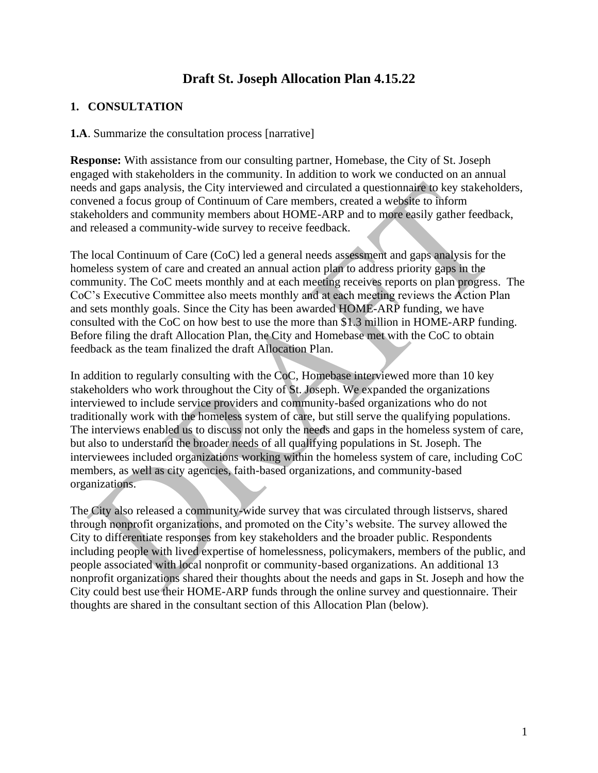# **Draft St. Joseph Allocation Plan 4.15.22**

# **1. CONSULTATION**

**1.A**. Summarize the consultation process [narrative]

**Response:** With assistance from our consulting partner, Homebase, the City of St. Joseph engaged with stakeholders in the community. In addition to work we conducted on an annual needs and gaps analysis, the City interviewed and circulated a questionnaire to key stakeholders, convened a focus group of Continuum of Care members, created a website to inform stakeholders and community members about HOME-ARP and to more easily gather feedback, and released a community-wide survey to receive feedback.

The local Continuum of Care (CoC) led a general needs assessment and gaps analysis for the homeless system of care and created an annual action plan to address priority gaps in the community. The CoC meets monthly and at each meeting receives reports on plan progress. The CoC's Executive Committee also meets monthly and at each meeting reviews the Action Plan and sets monthly goals. Since the City has been awarded HOME-ARP funding, we have consulted with the CoC on how best to use the more than \$1.3 million in HOME-ARP funding. Before filing the draft Allocation Plan, the City and Homebase met with the CoC to obtain feedback as the team finalized the draft Allocation Plan.

In addition to regularly consulting with the CoC, Homebase interviewed more than 10 key stakeholders who work throughout the City of St. Joseph. We expanded the organizations interviewed to include service providers and community-based organizations who do not traditionally work with the homeless system of care, but still serve the qualifying populations. The interviews enabled us to discuss not only the needs and gaps in the homeless system of care, but also to understand the broader needs of all qualifying populations in St. Joseph. The interviewees included organizations working within the homeless system of care, including CoC members, as well as city agencies, faith-based organizations, and community-based organizations.

The City also released a community-wide survey that was circulated through listservs, shared through nonprofit organizations, and promoted on the City's website. The survey allowed the City to differentiate responses from key stakeholders and the broader public. Respondents including people with lived expertise of homelessness, policymakers, members of the public, and people associated with local nonprofit or community-based organizations. An additional 13 nonprofit organizations shared their thoughts about the needs and gaps in St. Joseph and how the City could best use their HOME-ARP funds through the online survey and questionnaire. Their thoughts are shared in the consultant section of this Allocation Plan (below).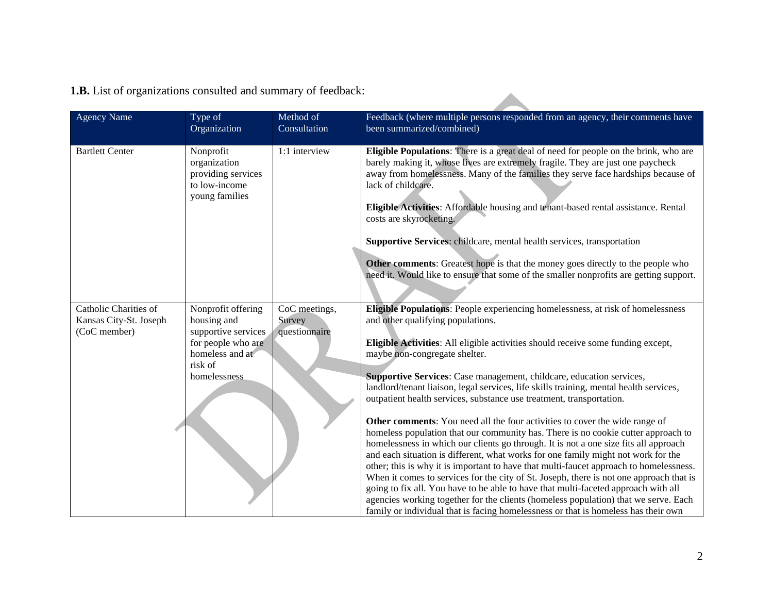| <b>1.B.</b> List of organizations consulted and summary of feedback: |
|----------------------------------------------------------------------|
|----------------------------------------------------------------------|

| <b>Agency Name</b>                                              | Type of<br>Organization                                                                                                      | Method of<br>Consultation                | Feedback (where multiple persons responded from an agency, their comments have<br>been summarized/combined)                                                                                                                                                                                                                                                                                                                                                                                                                                                                                                                                                                                                                                                                                                                                                                                                                                                                                                                                                                                                                                                                                                                                                                                  |
|-----------------------------------------------------------------|------------------------------------------------------------------------------------------------------------------------------|------------------------------------------|----------------------------------------------------------------------------------------------------------------------------------------------------------------------------------------------------------------------------------------------------------------------------------------------------------------------------------------------------------------------------------------------------------------------------------------------------------------------------------------------------------------------------------------------------------------------------------------------------------------------------------------------------------------------------------------------------------------------------------------------------------------------------------------------------------------------------------------------------------------------------------------------------------------------------------------------------------------------------------------------------------------------------------------------------------------------------------------------------------------------------------------------------------------------------------------------------------------------------------------------------------------------------------------------|
| <b>Bartlett Center</b>                                          | Nonprofit<br>organization<br>providing services<br>to low-income<br>young families                                           | 1:1 interview                            | Eligible Populations: There is a great deal of need for people on the brink, who are<br>barely making it, whose lives are extremely fragile. They are just one paycheck<br>away from homelessness. Many of the families they serve face hardships because of<br>lack of childcare.<br>Eligible Activities: Affordable housing and tenant-based rental assistance. Rental<br>costs are skyrocketing.<br>Supportive Services: childcare, mental health services, transportation<br>Other comments: Greatest hope is that the money goes directly to the people who<br>need it. Would like to ensure that some of the smaller nonprofits are getting support.                                                                                                                                                                                                                                                                                                                                                                                                                                                                                                                                                                                                                                   |
| Catholic Charities of<br>Kansas City-St. Joseph<br>(CoC member) | Nonprofit offering<br>housing and<br>supportive services<br>for people who are<br>homeless and at<br>risk of<br>homelessness | CoC meetings,<br>Survey<br>questionnaire | Eligible Populations: People experiencing homelessness, at risk of homelessness<br>and other qualifying populations.<br>Eligible Activities: All eligible activities should receive some funding except,<br>maybe non-congregate shelter.<br>Supportive Services: Case management, childcare, education services,<br>landlord/tenant liaison, legal services, life skills training, mental health services,<br>outpatient health services, substance use treatment, transportation.<br>Other comments: You need all the four activities to cover the wide range of<br>homeless population that our community has. There is no cookie cutter approach to<br>homelessness in which our clients go through. It is not a one size fits all approach<br>and each situation is different, what works for one family might not work for the<br>other; this is why it is important to have that multi-faucet approach to homelessness.<br>When it comes to services for the city of St. Joseph, there is not one approach that is<br>going to fix all. You have to be able to have that multi-faceted approach with all<br>agencies working together for the clients (homeless population) that we serve. Each<br>family or individual that is facing homelessness or that is homeless has their own |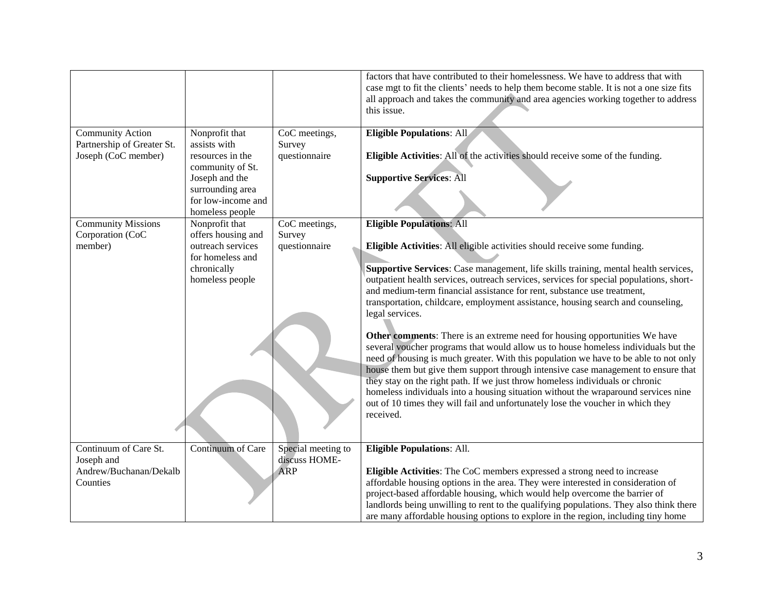|                            |                                    |                    | factors that have contributed to their homelessness. We have to address that with<br>case mgt to fit the clients' needs to help them become stable. It is not a one size fits<br>all approach and takes the community and area agencies working together to address<br>this issue. |
|----------------------------|------------------------------------|--------------------|------------------------------------------------------------------------------------------------------------------------------------------------------------------------------------------------------------------------------------------------------------------------------------|
| <b>Community Action</b>    | Nonprofit that                     | CoC meetings,      | <b>Eligible Populations: All</b>                                                                                                                                                                                                                                                   |
| Partnership of Greater St. | assists with                       | Survey             |                                                                                                                                                                                                                                                                                    |
| Joseph (CoC member)        | resources in the                   | questionnaire      | Eligible Activities: All of the activities should receive some of the funding.                                                                                                                                                                                                     |
|                            | community of St.                   |                    |                                                                                                                                                                                                                                                                                    |
|                            | Joseph and the<br>surrounding area |                    | <b>Supportive Services: All</b>                                                                                                                                                                                                                                                    |
|                            | for low-income and                 |                    |                                                                                                                                                                                                                                                                                    |
|                            | homeless people                    |                    |                                                                                                                                                                                                                                                                                    |
| <b>Community Missions</b>  | Nonprofit that                     | CoC meetings,      | <b>Eligible Populations: All</b>                                                                                                                                                                                                                                                   |
| Corporation (CoC           | offers housing and                 | Survey             |                                                                                                                                                                                                                                                                                    |
| member)                    | outreach services                  | questionnaire      | Eligible Activities: All eligible activities should receive some funding.                                                                                                                                                                                                          |
|                            | for homeless and                   |                    |                                                                                                                                                                                                                                                                                    |
|                            | chronically                        |                    | Supportive Services: Case management, life skills training, mental health services,                                                                                                                                                                                                |
|                            | homeless people                    |                    | outpatient health services, outreach services, services for special populations, short-                                                                                                                                                                                            |
|                            |                                    |                    | and medium-term financial assistance for rent, substance use treatment,                                                                                                                                                                                                            |
|                            |                                    |                    | transportation, childcare, employment assistance, housing search and counseling,<br>legal services.                                                                                                                                                                                |
|                            |                                    |                    |                                                                                                                                                                                                                                                                                    |
|                            |                                    |                    | Other comments: There is an extreme need for housing opportunities We have                                                                                                                                                                                                         |
|                            |                                    |                    | several voucher programs that would allow us to house homeless individuals but the                                                                                                                                                                                                 |
|                            |                                    |                    | need of housing is much greater. With this population we have to be able to not only                                                                                                                                                                                               |
|                            |                                    |                    | house them but give them support through intensive case management to ensure that                                                                                                                                                                                                  |
|                            |                                    |                    | they stay on the right path. If we just throw homeless individuals or chronic                                                                                                                                                                                                      |
|                            |                                    |                    | homeless individuals into a housing situation without the wraparound services nine                                                                                                                                                                                                 |
|                            |                                    |                    | out of 10 times they will fail and unfortunately lose the voucher in which they                                                                                                                                                                                                    |
|                            |                                    |                    | received.                                                                                                                                                                                                                                                                          |
|                            |                                    |                    |                                                                                                                                                                                                                                                                                    |
| Continuum of Care St.      | Continuum of Care                  | Special meeting to | <b>Eligible Populations: All.</b>                                                                                                                                                                                                                                                  |
| Joseph and                 |                                    | discuss HOME-      |                                                                                                                                                                                                                                                                                    |
| Andrew/Buchanan/Dekalb     |                                    | <b>ARP</b>         | Eligible Activities: The CoC members expressed a strong need to increase                                                                                                                                                                                                           |
| Counties                   |                                    |                    | affordable housing options in the area. They were interested in consideration of                                                                                                                                                                                                   |
|                            |                                    |                    | project-based affordable housing, which would help overcome the barrier of                                                                                                                                                                                                         |
|                            |                                    |                    | landlords being unwilling to rent to the qualifying populations. They also think there                                                                                                                                                                                             |
|                            |                                    |                    | are many affordable housing options to explore in the region, including tiny home                                                                                                                                                                                                  |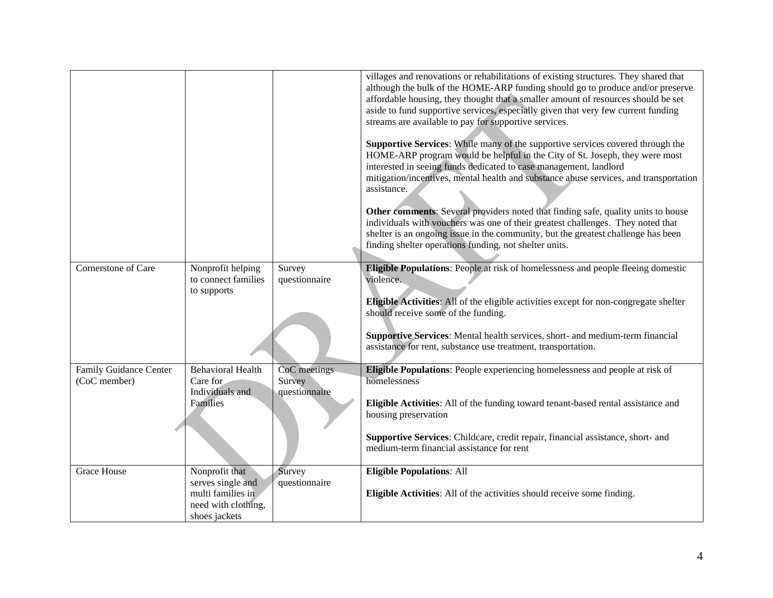|                                               |                                                                                                  |                                         | villages and renovations or rehabilitations of existing structures. They shared that<br>although the bulk of the HOME-ARP funding should go to produce and/or preserve<br>affordable housing, they thought that a smaller amount of resources should be set<br>aside to fund supportive services, especially given that very few current funding<br>streams are available to pay for supportive services.<br>Supportive Services: While many of the supportive services covered through the<br>HOME-ARP program would be helpful in the City of St. Joseph, they were most<br>interested in seeing funds dedicated to case management, landlord<br>mitigation/incentives, mental health and substance abuse services, and transportation<br>assistance.<br>Other comments: Several providers noted that finding safe, quality units to house<br>individuals with vouchers was one of their greatest challenges. They noted that<br>shelter is an ongoing issue in the community, but the greatest challenge has been<br>finding shelter operations funding, not shelter units. |
|-----------------------------------------------|--------------------------------------------------------------------------------------------------|-----------------------------------------|--------------------------------------------------------------------------------------------------------------------------------------------------------------------------------------------------------------------------------------------------------------------------------------------------------------------------------------------------------------------------------------------------------------------------------------------------------------------------------------------------------------------------------------------------------------------------------------------------------------------------------------------------------------------------------------------------------------------------------------------------------------------------------------------------------------------------------------------------------------------------------------------------------------------------------------------------------------------------------------------------------------------------------------------------------------------------------|
| Cornerstone of Care                           | Nonprofit helping<br>to connect families<br>to supports                                          | Survey<br>questionnaire                 | Eligible Populations: People at risk of homelessness and people fleeing domestic<br>violence.<br>Eligible Activities: All of the eligible activities except for non-congregate shelter<br>should receive some of the funding.<br>Supportive Services: Mental health services, short- and medium-term financial<br>assistance for rent, substance use treatment, transportation.                                                                                                                                                                                                                                                                                                                                                                                                                                                                                                                                                                                                                                                                                                |
| <b>Family Guidance Center</b><br>(CoC member) | <b>Behavioral Health</b><br>Care for<br>Individuals and<br>Families                              | CoC meetings<br>Survey<br>questionnaire | <b>Eligible Populations:</b> People experiencing homelessness and people at risk of<br>homelessness<br>Eligible Activities: All of the funding toward tenant-based rental assistance and<br>housing preservation<br>Supportive Services: Childcare, credit repair, financial assistance, short- and<br>medium-term financial assistance for rent                                                                                                                                                                                                                                                                                                                                                                                                                                                                                                                                                                                                                                                                                                                               |
| <b>Grace House</b>                            | Nonprofit that<br>serves single and<br>multi families in<br>need with clothing,<br>shoes jackets | Survey<br>questionnaire                 | <b>Eligible Populations: All</b><br>Eligible Activities: All of the activities should receive some finding.                                                                                                                                                                                                                                                                                                                                                                                                                                                                                                                                                                                                                                                                                                                                                                                                                                                                                                                                                                    |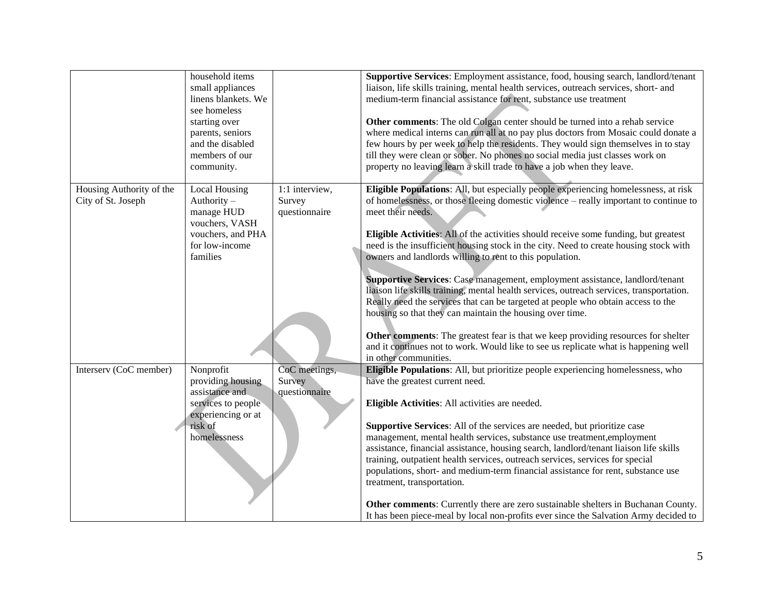|                                                | household items<br>small appliances<br>linens blankets. We<br>see homeless<br>starting over<br>parents, seniors<br>and the disabled<br>members of our<br>community. |                                           | Supportive Services: Employment assistance, food, housing search, landlord/tenant<br>liaison, life skills training, mental health services, outreach services, short- and<br>medium-term financial assistance for rent, substance use treatment<br>Other comments: The old Colgan center should be turned into a rehab service<br>where medical interns can run all at no pay plus doctors from Mosaic could donate a<br>few hours by per week to help the residents. They would sign themselves in to stay<br>till they were clean or sober. No phones no social media just classes work on<br>property no leaving learn a skill trade to have a job when they leave.                                                                                                                                                                                                                                                                                                                 |
|------------------------------------------------|---------------------------------------------------------------------------------------------------------------------------------------------------------------------|-------------------------------------------|----------------------------------------------------------------------------------------------------------------------------------------------------------------------------------------------------------------------------------------------------------------------------------------------------------------------------------------------------------------------------------------------------------------------------------------------------------------------------------------------------------------------------------------------------------------------------------------------------------------------------------------------------------------------------------------------------------------------------------------------------------------------------------------------------------------------------------------------------------------------------------------------------------------------------------------------------------------------------------------|
| Housing Authority of the<br>City of St. Joseph | Local Housing<br>Authority $-$<br>manage HUD<br>vouchers, VASH<br>vouchers, and PHA<br>for low-income<br>families                                                   | 1:1 interview,<br>Survey<br>questionnaire | Eligible Populations: All, but especially people experiencing homelessness, at risk<br>of homelessness, or those fleeing domestic violence – really important to continue to<br>meet their needs.<br><b>Eligible Activities:</b> All of the activities should receive some funding, but greatest<br>need is the insufficient housing stock in the city. Need to create housing stock with<br>owners and landlords willing to rent to this population.<br>Supportive Services: Case management, employment assistance, landlord/tenant<br>liaison life skills training, mental health services, outreach services, transportation.<br>Really need the services that can be targeted at people who obtain access to the<br>housing so that they can maintain the housing over time.<br>Other comments: The greatest fear is that we keep providing resources for shelter<br>and it continues not to work. Would like to see us replicate what is happening well<br>in other communities. |
| Interserv (CoC member)                         | Nonprofit<br>providing housing<br>assistance and<br>services to people<br>experiencing or at<br>risk of<br>homelessness                                             | CoC meetings,<br>Survey<br>questionnaire  | Eligible Populations: All, but prioritize people experiencing homelessness, who<br>have the greatest current need.<br>Eligible Activities: All activities are needed.<br>Supportive Services: All of the services are needed, but prioritize case<br>management, mental health services, substance use treatment, employment<br>assistance, financial assistance, housing search, landlord/tenant liaison life skills<br>training, outpatient health services, outreach services, services for special<br>populations, short- and medium-term financial assistance for rent, substance use<br>treatment, transportation.<br><b>Other comments:</b> Currently there are zero sustainable shelters in Buchanan County.<br>It has been piece-meal by local non-profits ever since the Salvation Army decided to                                                                                                                                                                           |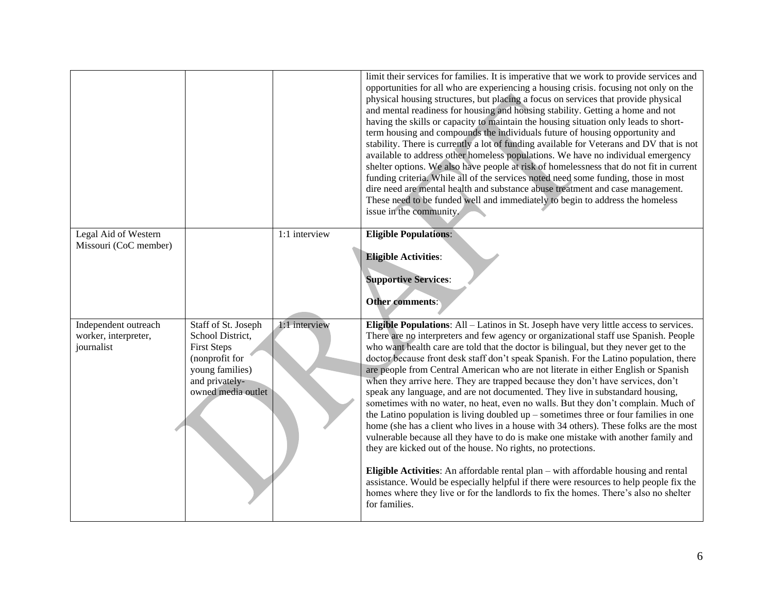|                                                            |                                                                                                                                            |               | limit their services for families. It is imperative that we work to provide services and<br>opportunities for all who are experiencing a housing crisis. focusing not only on the<br>physical housing structures, but placing a focus on services that provide physical<br>and mental readiness for housing and housing stability. Getting a home and not<br>having the skills or capacity to maintain the housing situation only leads to short-<br>term housing and compounds the individuals future of housing opportunity and<br>stability. There is currently a lot of funding available for Veterans and DV that is not<br>available to address other homeless populations. We have no individual emergency<br>shelter options. We also have people at risk of homelessness that do not fit in current<br>funding criteria. While all of the services noted need some funding, those in most<br>dire need are mental health and substance abuse treatment and case management.<br>These need to be funded well and immediately to begin to address the homeless<br>issue in the community.                                                                                                                                                                                                                                                   |
|------------------------------------------------------------|--------------------------------------------------------------------------------------------------------------------------------------------|---------------|----------------------------------------------------------------------------------------------------------------------------------------------------------------------------------------------------------------------------------------------------------------------------------------------------------------------------------------------------------------------------------------------------------------------------------------------------------------------------------------------------------------------------------------------------------------------------------------------------------------------------------------------------------------------------------------------------------------------------------------------------------------------------------------------------------------------------------------------------------------------------------------------------------------------------------------------------------------------------------------------------------------------------------------------------------------------------------------------------------------------------------------------------------------------------------------------------------------------------------------------------------------------------------------------------------------------------------------------------|
| Legal Aid of Western<br>Missouri (CoC member)              |                                                                                                                                            | 1:1 interview | <b>Eligible Populations:</b>                                                                                                                                                                                                                                                                                                                                                                                                                                                                                                                                                                                                                                                                                                                                                                                                                                                                                                                                                                                                                                                                                                                                                                                                                                                                                                                       |
|                                                            |                                                                                                                                            |               | <b>Eligible Activities:</b><br><b>Supportive Services:</b><br>Other comments:                                                                                                                                                                                                                                                                                                                                                                                                                                                                                                                                                                                                                                                                                                                                                                                                                                                                                                                                                                                                                                                                                                                                                                                                                                                                      |
| Independent outreach<br>worker, interpreter,<br>journalist | Staff of St. Joseph<br>School District,<br><b>First Steps</b><br>(nonprofit for<br>young families)<br>and privately-<br>owned media outlet | 1:1 interview | Eligible Populations: All – Latinos in St. Joseph have very little access to services.<br>There are no interpreters and few agency or organizational staff use Spanish. People<br>who want health care are told that the doctor is bilingual, but they never get to the<br>doctor because front desk staff don't speak Spanish. For the Latino population, there<br>are people from Central American who are not literate in either English or Spanish<br>when they arrive here. They are trapped because they don't have services, don't<br>speak any language, and are not documented. They live in substandard housing,<br>sometimes with no water, no heat, even no walls. But they don't complain. Much of<br>the Latino population is living doubled $up$ – sometimes three or four families in one<br>home (she has a client who lives in a house with 34 others). These folks are the most<br>vulnerable because all they have to do is make one mistake with another family and<br>they are kicked out of the house. No rights, no protections.<br>Eligible Activities: An affordable rental plan – with affordable housing and rental<br>assistance. Would be especially helpful if there were resources to help people fix the<br>homes where they live or for the landlords to fix the homes. There's also no shelter<br>for families. |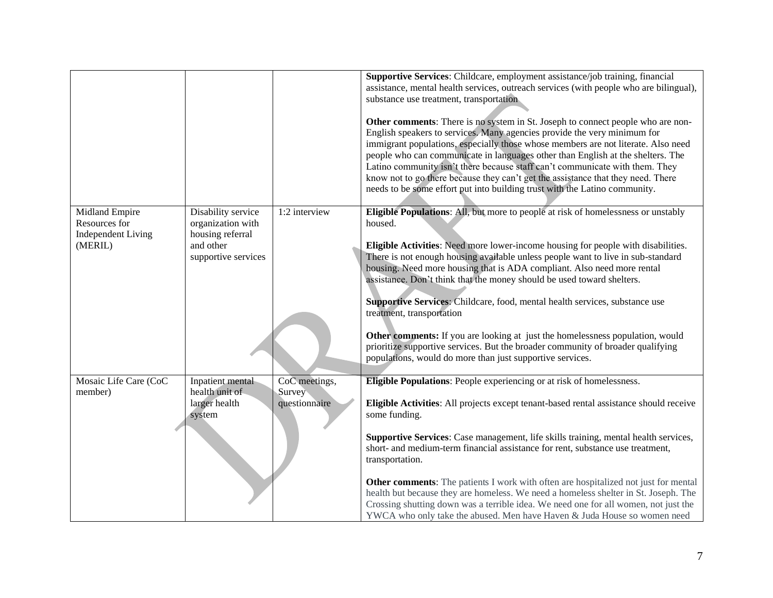|                                      |                                                      |                         | Supportive Services: Childcare, employment assistance/job training, financial<br>assistance, mental health services, outreach services (with people who are bilingual),<br>substance use treatment, transportation                                                                                                                                                                                                                                                                                                                                                                    |
|--------------------------------------|------------------------------------------------------|-------------------------|---------------------------------------------------------------------------------------------------------------------------------------------------------------------------------------------------------------------------------------------------------------------------------------------------------------------------------------------------------------------------------------------------------------------------------------------------------------------------------------------------------------------------------------------------------------------------------------|
|                                      |                                                      |                         | Other comments: There is no system in St. Joseph to connect people who are non-<br>English speakers to services. Many agencies provide the very minimum for<br>immigrant populations, especially those whose members are not literate. Also need<br>people who can communicate in languages other than English at the shelters. The<br>Latino community isn't there because staff can't communicate with them. They<br>know not to go there because they can't get the assistance that they need. There<br>needs to be some effort put into building trust with the Latino community. |
| Midland Empire<br>Resources for      | Disability service<br>organization with              | 1:2 interview           | Eligible Populations: All, but more to people at risk of homelessness or unstably<br>housed.                                                                                                                                                                                                                                                                                                                                                                                                                                                                                          |
| <b>Independent Living</b><br>(MERIL) | housing referral<br>and other<br>supportive services |                         | Eligible Activities: Need more lower-income housing for people with disabilities.<br>There is not enough housing available unless people want to live in sub-standard<br>housing. Need more housing that is ADA compliant. Also need more rental<br>assistance. Don't think that the money should be used toward shelters.                                                                                                                                                                                                                                                            |
|                                      |                                                      |                         | Supportive Services: Childcare, food, mental health services, substance use<br>treatment, transportation                                                                                                                                                                                                                                                                                                                                                                                                                                                                              |
|                                      |                                                      |                         | Other comments: If you are looking at just the homelessness population, would<br>prioritize supportive services. But the broader community of broader qualifying<br>populations, would do more than just supportive services.                                                                                                                                                                                                                                                                                                                                                         |
| Mosaic Life Care (CoC                | Inpatient mental                                     | CoC meetings,           | <b>Eligible Populations:</b> People experiencing or at risk of homelessness.                                                                                                                                                                                                                                                                                                                                                                                                                                                                                                          |
| member)                              | health unit of<br>larger health<br>system            | Survey<br>questionnaire | Eligible Activities: All projects except tenant-based rental assistance should receive<br>some funding.                                                                                                                                                                                                                                                                                                                                                                                                                                                                               |
|                                      |                                                      |                         | Supportive Services: Case management, life skills training, mental health services,<br>short- and medium-term financial assistance for rent, substance use treatment,<br>transportation.                                                                                                                                                                                                                                                                                                                                                                                              |
|                                      |                                                      |                         | <b>Other comments:</b> The patients I work with often are hospitalized not just for mental<br>health but because they are homeless. We need a homeless shelter in St. Joseph. The<br>Crossing shutting down was a terrible idea. We need one for all women, not just the<br>YWCA who only take the abused. Men have Haven & Juda House so women need                                                                                                                                                                                                                                  |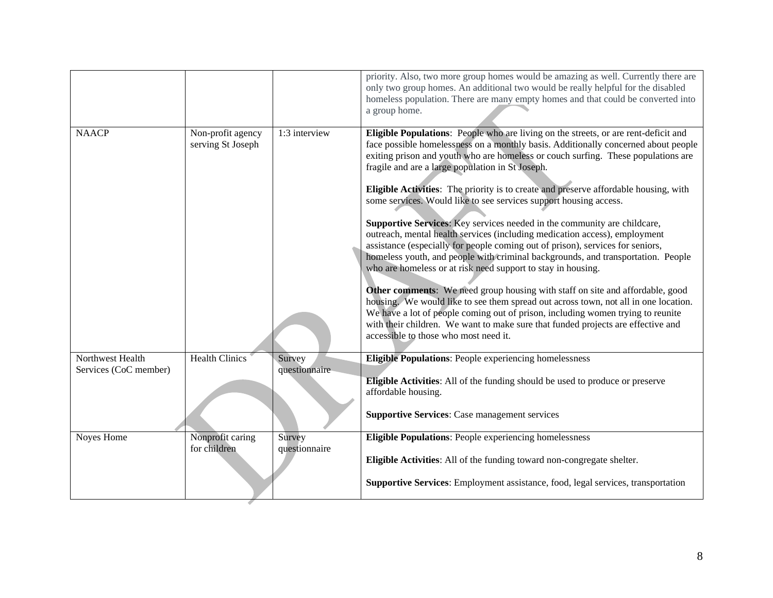|                                           |                                        |                         | priority. Also, two more group homes would be amazing as well. Currently there are<br>only two group homes. An additional two would be really helpful for the disabled<br>homeless population. There are many empty homes and that could be converted into<br>a group home.                                                                                                                                                                                                                                                                                                                                                                                                                                                                                                                                                                                                                                                                                                                                                                                                                                                                                                                                                                                             |
|-------------------------------------------|----------------------------------------|-------------------------|-------------------------------------------------------------------------------------------------------------------------------------------------------------------------------------------------------------------------------------------------------------------------------------------------------------------------------------------------------------------------------------------------------------------------------------------------------------------------------------------------------------------------------------------------------------------------------------------------------------------------------------------------------------------------------------------------------------------------------------------------------------------------------------------------------------------------------------------------------------------------------------------------------------------------------------------------------------------------------------------------------------------------------------------------------------------------------------------------------------------------------------------------------------------------------------------------------------------------------------------------------------------------|
| <b>NAACP</b>                              | Non-profit agency<br>serving St Joseph | 1:3 interview           | Eligible Populations: People who are living on the streets, or are rent-deficit and<br>face possible homelessness on a monthly basis. Additionally concerned about people<br>exiting prison and youth who are homeless or couch surfing. These populations are<br>fragile and are a large population in St Joseph.<br>Eligible Activities: The priority is to create and preserve affordable housing, with<br>some services. Would like to see services support housing access.<br>Supportive Services: Key services needed in the community are childcare,<br>outreach, mental health services (including medication access), employment<br>assistance (especially for people coming out of prison), services for seniors,<br>homeless youth, and people with criminal backgrounds, and transportation. People<br>who are homeless or at risk need support to stay in housing.<br>Other comments: We need group housing with staff on site and affordable, good<br>housing. We would like to see them spread out across town, not all in one location.<br>We have a lot of people coming out of prison, including women trying to reunite<br>with their children. We want to make sure that funded projects are effective and<br>accessible to those who most need it. |
| Northwest Health<br>Services (CoC member) | <b>Health Clinics</b>                  | Survey<br>questionnaire | <b>Eligible Populations:</b> People experiencing homelessness<br><b>Eligible Activities:</b> All of the funding should be used to produce or preserve<br>affordable housing.                                                                                                                                                                                                                                                                                                                                                                                                                                                                                                                                                                                                                                                                                                                                                                                                                                                                                                                                                                                                                                                                                            |
|                                           |                                        |                         | <b>Supportive Services: Case management services</b>                                                                                                                                                                                                                                                                                                                                                                                                                                                                                                                                                                                                                                                                                                                                                                                                                                                                                                                                                                                                                                                                                                                                                                                                                    |
| Noyes Home                                | Nonprofit caring<br>for children       | Survey<br>questionnaire | Eligible Populations: People experiencing homelessness<br>Eligible Activities: All of the funding toward non-congregate shelter.<br>Supportive Services: Employment assistance, food, legal services, transportation                                                                                                                                                                                                                                                                                                                                                                                                                                                                                                                                                                                                                                                                                                                                                                                                                                                                                                                                                                                                                                                    |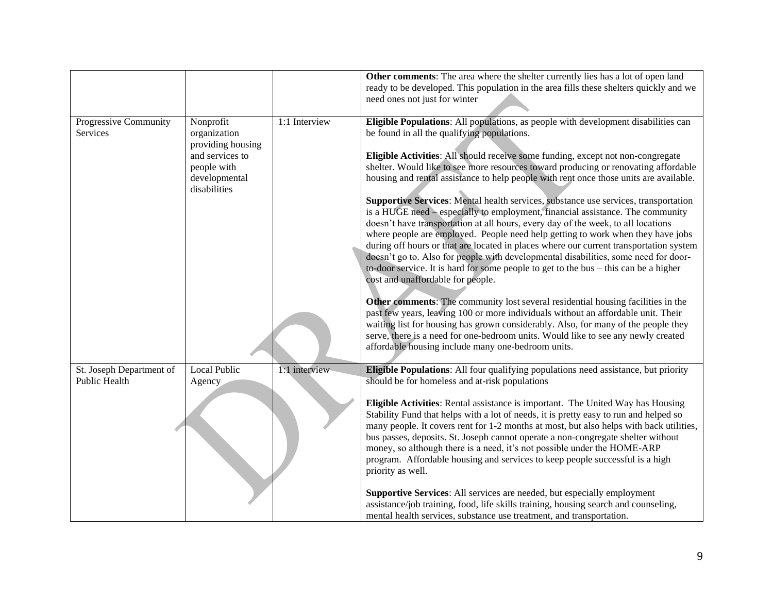|                                           |                                                |               | Other comments: The area where the shelter currently lies has a lot of open land<br>ready to be developed. This population in the area fills these shelters quickly and we<br>need ones not just for winter                                                                                                                                             |
|-------------------------------------------|------------------------------------------------|---------------|---------------------------------------------------------------------------------------------------------------------------------------------------------------------------------------------------------------------------------------------------------------------------------------------------------------------------------------------------------|
| Progressive Community<br>Services         | Nonprofit<br>organization<br>providing housing | 1:1 Interview | Eligible Populations: All populations, as people with development disabilities can<br>be found in all the qualifying populations.                                                                                                                                                                                                                       |
|                                           | and services to<br>people with                 |               | Eligible Activities: All should receive some funding, except not non-congregate<br>shelter. Would like to see more resources toward producing or renovating affordable                                                                                                                                                                                  |
|                                           | developmental<br>disabilities                  |               | housing and rental assistance to help people with rent once those units are available.                                                                                                                                                                                                                                                                  |
|                                           |                                                |               | Supportive Services: Mental health services, substance use services, transportation<br>is a HUGE need – especially to employment, financial assistance. The community<br>doesn't have transportation at all hours, every day of the week, to all locations                                                                                              |
|                                           |                                                |               | where people are employed. People need help getting to work when they have jobs<br>during off hours or that are located in places where our current transportation system                                                                                                                                                                               |
|                                           |                                                |               | doesn't go to. Also for people with developmental disabilities, some need for door-<br>to-door service. It is hard for some people to get to the bus $-$ this can be a higher                                                                                                                                                                           |
|                                           |                                                |               | cost and unaffordable for people.                                                                                                                                                                                                                                                                                                                       |
|                                           |                                                |               | Other comments: The community lost several residential housing facilities in the<br>past few years, leaving 100 or more individuals without an affordable unit. Their<br>waiting list for housing has grown considerably. Also, for many of the people they                                                                                             |
|                                           |                                                |               | serve, there is a need for one-bedroom units. Would like to see any newly created<br>affordable housing include many one-bedroom units.                                                                                                                                                                                                                 |
| St. Joseph Department of<br>Public Health | <b>Local Public</b><br>Agency                  | 1:1 interview | Eligible Populations: All four qualifying populations need assistance, but priority<br>should be for homeless and at-risk populations                                                                                                                                                                                                                   |
|                                           |                                                |               | Eligible Activities: Rental assistance is important. The United Way has Housing<br>Stability Fund that helps with a lot of needs, it is pretty easy to run and helped so<br>many people. It covers rent for 1-2 months at most, but also helps with back utilities,<br>bus passes, deposits. St. Joseph cannot operate a non-congregate shelter without |
|                                           |                                                |               | money, so although there is a need, it's not possible under the HOME-ARP<br>program. Affordable housing and services to keep people successful is a high<br>priority as well.                                                                                                                                                                           |
|                                           |                                                |               | Supportive Services: All services are needed, but especially employment<br>assistance/job training, food, life skills training, housing search and counseling,<br>mental health services, substance use treatment, and transportation.                                                                                                                  |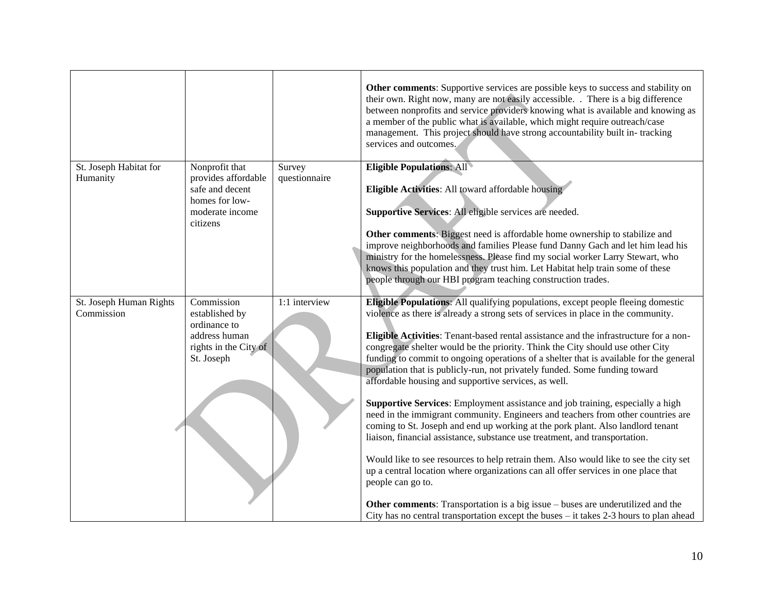|                                    |                                                                                                           |                         | Other comments: Supportive services are possible keys to success and stability on<br>their own. Right now, many are not easily accessible. . There is a big difference<br>between nonprofits and service providers knowing what is available and knowing as<br>a member of the public what is available, which might require outreach/case<br>management. This project should have strong accountability built in-tracking<br>services and outcomes.                                                                                                 |
|------------------------------------|-----------------------------------------------------------------------------------------------------------|-------------------------|------------------------------------------------------------------------------------------------------------------------------------------------------------------------------------------------------------------------------------------------------------------------------------------------------------------------------------------------------------------------------------------------------------------------------------------------------------------------------------------------------------------------------------------------------|
| St. Joseph Habitat for<br>Humanity | Nonprofit that<br>provides affordable<br>safe and decent<br>homes for low-<br>moderate income<br>citizens | Survey<br>questionnaire | <b>Eligible Populations: All</b><br>Eligible Activities: All toward affordable housing<br>Supportive Services: All eligible services are needed.<br>Other comments: Biggest need is affordable home ownership to stabilize and<br>improve neighborhoods and families Please fund Danny Gach and let him lead his<br>ministry for the homelessness. Please find my social worker Larry Stewart, who<br>knows this population and they trust him. Let Habitat help train some of these<br>people through our HBI program teaching construction trades. |
| St. Joseph Human Rights            | Commission                                                                                                | 1:1 interview           | Eligible Populations: All qualifying populations, except people fleeing domestic                                                                                                                                                                                                                                                                                                                                                                                                                                                                     |
| Commission                         | established by                                                                                            |                         | violence as there is already a strong sets of services in place in the community.                                                                                                                                                                                                                                                                                                                                                                                                                                                                    |
|                                    | ordinance to<br>address human                                                                             |                         | Eligible Activities: Tenant-based rental assistance and the infrastructure for a non-                                                                                                                                                                                                                                                                                                                                                                                                                                                                |
|                                    | rights in the City of                                                                                     |                         | congregate shelter would be the priority. Think the City should use other City                                                                                                                                                                                                                                                                                                                                                                                                                                                                       |
|                                    | St. Joseph                                                                                                |                         | funding to commit to ongoing operations of a shelter that is available for the general                                                                                                                                                                                                                                                                                                                                                                                                                                                               |
|                                    |                                                                                                           |                         | population that is publicly-run, not privately funded. Some funding toward                                                                                                                                                                                                                                                                                                                                                                                                                                                                           |
|                                    |                                                                                                           |                         | affordable housing and supportive services, as well.                                                                                                                                                                                                                                                                                                                                                                                                                                                                                                 |
|                                    |                                                                                                           |                         | Supportive Services: Employment assistance and job training, especially a high<br>need in the immigrant community. Engineers and teachers from other countries are<br>coming to St. Joseph and end up working at the pork plant. Also landlord tenant<br>liaison, financial assistance, substance use treatment, and transportation.                                                                                                                                                                                                                 |
|                                    |                                                                                                           |                         | Would like to see resources to help retrain them. Also would like to see the city set<br>up a central location where organizations can all offer services in one place that<br>people can go to.                                                                                                                                                                                                                                                                                                                                                     |
|                                    |                                                                                                           |                         | Other comments: Transportation is a big issue – buses are underutilized and the<br>City has no central transportation except the buses $-$ it takes 2-3 hours to plan ahead                                                                                                                                                                                                                                                                                                                                                                          |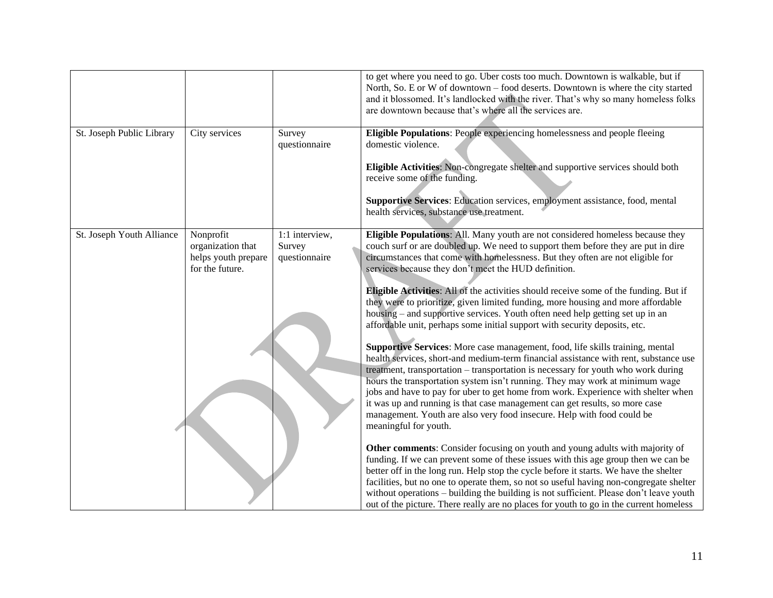|                           |                                                                          |                                           | to get where you need to go. Uber costs too much. Downtown is walkable, but if<br>North, So. E or W of downtown - food deserts. Downtown is where the city started<br>and it blossomed. It's landlocked with the river. That's why so many homeless folks<br>are downtown because that's where all the services are.                                                                                                                                                                                                                                                                                                                                                                                                                                                                                                                                                                                                                                                                                                                                                                                                                                                                                                                                                           |
|---------------------------|--------------------------------------------------------------------------|-------------------------------------------|--------------------------------------------------------------------------------------------------------------------------------------------------------------------------------------------------------------------------------------------------------------------------------------------------------------------------------------------------------------------------------------------------------------------------------------------------------------------------------------------------------------------------------------------------------------------------------------------------------------------------------------------------------------------------------------------------------------------------------------------------------------------------------------------------------------------------------------------------------------------------------------------------------------------------------------------------------------------------------------------------------------------------------------------------------------------------------------------------------------------------------------------------------------------------------------------------------------------------------------------------------------------------------|
| St. Joseph Public Library | City services                                                            | Survey<br>questionnaire                   | Eligible Populations: People experiencing homelessness and people fleeing<br>domestic violence.<br>Eligible Activities: Non-congregate shelter and supportive services should both<br>receive some of the funding.<br>Supportive Services: Education services, employment assistance, food, mental                                                                                                                                                                                                                                                                                                                                                                                                                                                                                                                                                                                                                                                                                                                                                                                                                                                                                                                                                                             |
|                           |                                                                          |                                           | health services, substance use treatment.                                                                                                                                                                                                                                                                                                                                                                                                                                                                                                                                                                                                                                                                                                                                                                                                                                                                                                                                                                                                                                                                                                                                                                                                                                      |
| St. Joseph Youth Alliance | Nonprofit<br>organization that<br>helps youth prepare<br>for the future. | 1:1 interview,<br>Survey<br>questionnaire | Eligible Populations: All. Many youth are not considered homeless because they<br>couch surf or are doubled up. We need to support them before they are put in dire<br>circumstances that come with homelessness. But they often are not eligible for<br>services because they don't meet the HUD definition.<br>Eligible Activities: All of the activities should receive some of the funding. But if<br>they were to prioritize, given limited funding, more housing and more affordable<br>housing – and supportive services. Youth often need help getting set up in an<br>affordable unit, perhaps some initial support with security deposits, etc.<br>Supportive Services: More case management, food, life skills training, mental<br>health services, short-and medium-term financial assistance with rent, substance use<br>treatment, transportation - transportation is necessary for youth who work during<br>hours the transportation system isn't running. They may work at minimum wage<br>jobs and have to pay for uber to get home from work. Experience with shelter when<br>it was up and running is that case management can get results, so more case<br>management. Youth are also very food insecure. Help with food could be<br>meaningful for youth. |
|                           |                                                                          |                                           | Other comments: Consider focusing on youth and young adults with majority of<br>funding. If we can prevent some of these issues with this age group then we can be<br>better off in the long run. Help stop the cycle before it starts. We have the shelter<br>facilities, but no one to operate them, so not so useful having non-congregate shelter<br>without operations - building the building is not sufficient. Please don't leave youth<br>out of the picture. There really are no places for youth to go in the current homeless                                                                                                                                                                                                                                                                                                                                                                                                                                                                                                                                                                                                                                                                                                                                      |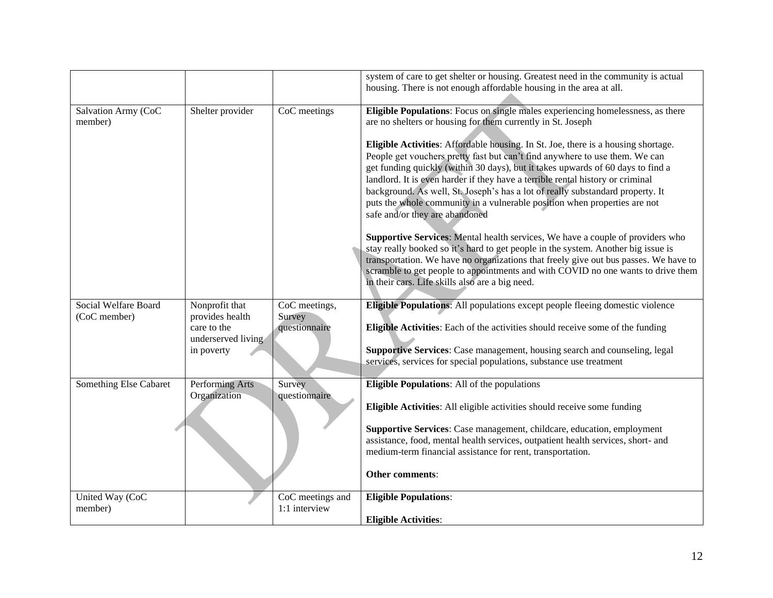|                                      |                                                                                      |                                          | system of care to get shelter or housing. Greatest need in the community is actual<br>housing. There is not enough affordable housing in the area at all.                                                                                                                                                                                                                                                                                                                                                                                                                                                                                                                                                                                                                                                                                                                                                                                                                                                                                                                                      |
|--------------------------------------|--------------------------------------------------------------------------------------|------------------------------------------|------------------------------------------------------------------------------------------------------------------------------------------------------------------------------------------------------------------------------------------------------------------------------------------------------------------------------------------------------------------------------------------------------------------------------------------------------------------------------------------------------------------------------------------------------------------------------------------------------------------------------------------------------------------------------------------------------------------------------------------------------------------------------------------------------------------------------------------------------------------------------------------------------------------------------------------------------------------------------------------------------------------------------------------------------------------------------------------------|
| Salvation Army (CoC<br>member)       | Shelter provider                                                                     | CoC meetings                             | Eligible Populations: Focus on single males experiencing homelessness, as there<br>are no shelters or housing for them currently in St. Joseph<br>Eligible Activities: Affordable housing. In St. Joe, there is a housing shortage.<br>People get vouchers pretty fast but can't find anywhere to use them. We can<br>get funding quickly (within 30 days), but it takes upwards of 60 days to find a<br>landlord. It is even harder if they have a terrible rental history or criminal<br>background. As well, St. Joseph's has a lot of really substandard property. It<br>puts the whole community in a vulnerable position when properties are not<br>safe and/or they are abandoned<br>Supportive Services: Mental health services, We have a couple of providers who<br>stay really booked so it's hard to get people in the system. Another big issue is<br>transportation. We have no organizations that freely give out bus passes. We have to<br>scramble to get people to appointments and with COVID no one wants to drive them<br>in their cars. Life skills also are a big need. |
| Social Welfare Board<br>(CoC member) | Nonprofit that<br>provides health<br>care to the<br>underserved living<br>in poverty | CoC meetings,<br>Survey<br>questionnaire | Eligible Populations: All populations except people fleeing domestic violence<br>Eligible Activities: Each of the activities should receive some of the funding<br>Supportive Services: Case management, housing search and counseling, legal<br>services, services for special populations, substance use treatment                                                                                                                                                                                                                                                                                                                                                                                                                                                                                                                                                                                                                                                                                                                                                                           |
| Something Else Cabaret               | Performing Arts<br>Organization                                                      | Survey<br>questionnaire                  | <b>Eligible Populations:</b> All of the populations<br>Eligible Activities: All eligible activities should receive some funding<br>Supportive Services: Case management, childcare, education, employment<br>assistance, food, mental health services, outpatient health services, short- and<br>medium-term financial assistance for rent, transportation.<br>Other comments:                                                                                                                                                                                                                                                                                                                                                                                                                                                                                                                                                                                                                                                                                                                 |
| United Way (CoC<br>member)           |                                                                                      | CoC meetings and<br>1:1 interview        | <b>Eligible Populations:</b><br><b>Eligible Activities:</b>                                                                                                                                                                                                                                                                                                                                                                                                                                                                                                                                                                                                                                                                                                                                                                                                                                                                                                                                                                                                                                    |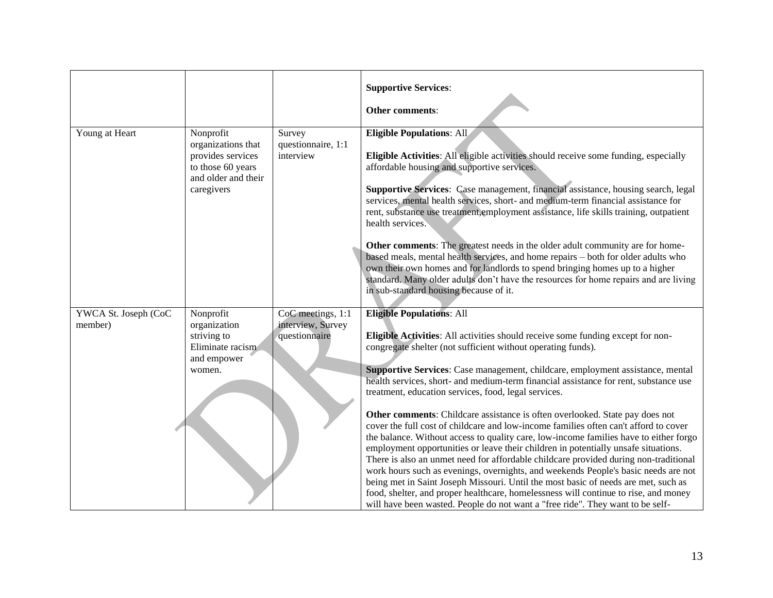|                                 |                                                                                                                |                                                         | <b>Supportive Services:</b><br>Other comments:                                                                                                                                                                                                                                                                                                                                                                                                                                                                                                                                                                                                                                                                                                                                                                                                                                                                                                                                                                                                                                                                                                                                                                            |
|---------------------------------|----------------------------------------------------------------------------------------------------------------|---------------------------------------------------------|---------------------------------------------------------------------------------------------------------------------------------------------------------------------------------------------------------------------------------------------------------------------------------------------------------------------------------------------------------------------------------------------------------------------------------------------------------------------------------------------------------------------------------------------------------------------------------------------------------------------------------------------------------------------------------------------------------------------------------------------------------------------------------------------------------------------------------------------------------------------------------------------------------------------------------------------------------------------------------------------------------------------------------------------------------------------------------------------------------------------------------------------------------------------------------------------------------------------------|
| Young at Heart                  | Nonprofit<br>organizations that<br>provides services<br>to those 60 years<br>and older and their<br>caregivers | Survey<br>questionnaire, 1:1<br>interview               | <b>Eligible Populations: All</b><br>Eligible Activities: All eligible activities should receive some funding, especially<br>affordable housing and supportive services.<br>Supportive Services: Case management, financial assistance, housing search, legal<br>services, mental health services, short- and medium-term financial assistance for<br>rent, substance use treatment, employment assistance, life skills training, outpatient<br>health services.<br>Other comments: The greatest needs in the older adult community are for home-<br>based meals, mental health services, and home repairs - both for older adults who<br>own their own homes and for landlords to spend bringing homes up to a higher<br>standard. Many older adults don't have the resources for home repairs and are living<br>in sub-standard housing because of it.                                                                                                                                                                                                                                                                                                                                                                   |
| YWCA St. Joseph (CoC<br>member) | Nonprofit<br>organization<br>striving to<br>Eliminate racism<br>and empower<br>women.                          | CoC meetings, 1:1<br>interview, Survey<br>questionnaire | <b>Eligible Populations: All</b><br>Eligible Activities: All activities should receive some funding except for non-<br>congregate shelter (not sufficient without operating funds).<br>Supportive Services: Case management, childcare, employment assistance, mental<br>health services, short- and medium-term financial assistance for rent, substance use<br>treatment, education services, food, legal services.<br>Other comments: Childcare assistance is often overlooked. State pay does not<br>cover the full cost of childcare and low-income families often can't afford to cover<br>the balance. Without access to quality care, low-income families have to either forgo<br>employment opportunities or leave their children in potentially unsafe situations.<br>There is also an unmet need for affordable childcare provided during non-traditional<br>work hours such as evenings, overnights, and weekends People's basic needs are not<br>being met in Saint Joseph Missouri. Until the most basic of needs are met, such as<br>food, shelter, and proper healthcare, homelessness will continue to rise, and money<br>will have been wasted. People do not want a "free ride". They want to be self- |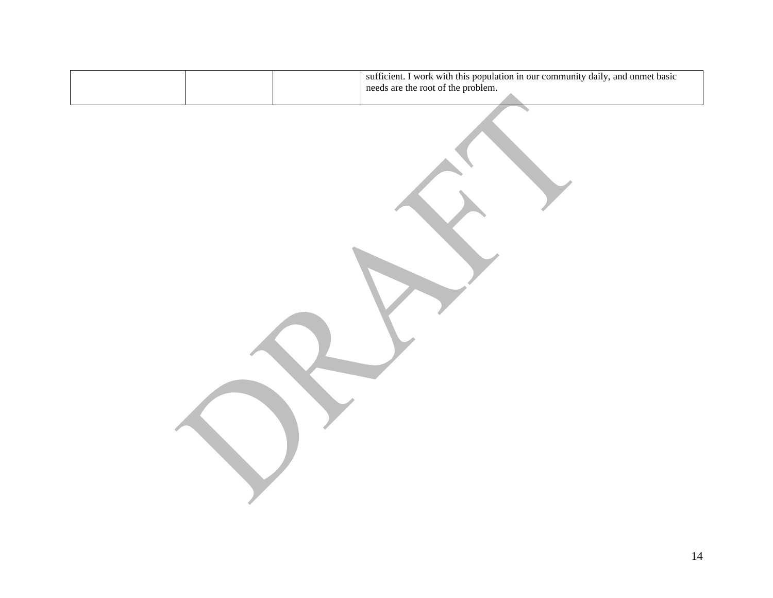| sufficient. I work with this population in our community daily, and unmet basic<br>needs are the root of the problem. |
|-----------------------------------------------------------------------------------------------------------------------|
|                                                                                                                       |
|                                                                                                                       |
|                                                                                                                       |
|                                                                                                                       |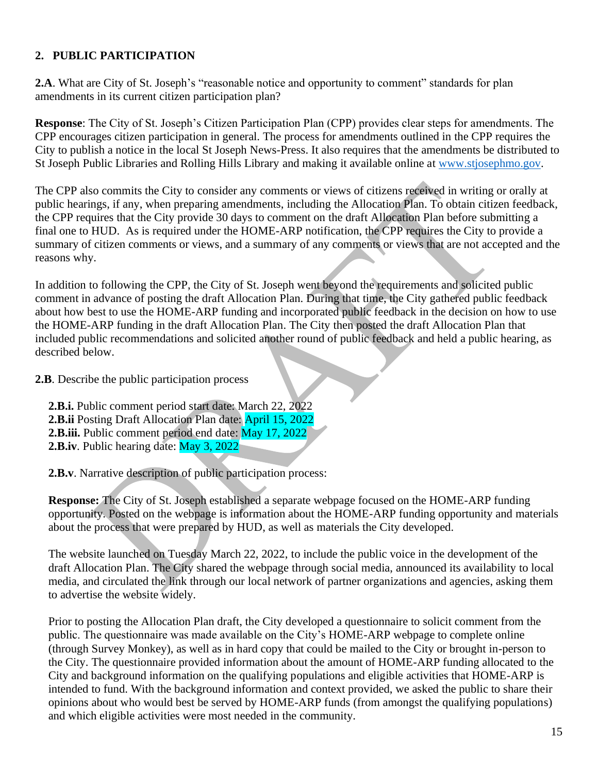# **2. PUBLIC PARTICIPATION**

2.A. What are City of St. Joseph's "reasonable notice and opportunity to comment" standards for plan amendments in its current citizen participation plan?

**Response**: The City of St. Joseph's Citizen Participation Plan (CPP) provides clear steps for amendments. The CPP encourages citizen participation in general. The process for amendments outlined in the CPP requires the City to publish a notice in the local St Joseph News-Press. It also requires that the amendments be distributed to St Joseph Public Libraries and Rolling Hills Library and making it available online at [www.stjosephmo.gov.](http://www.stjosephmo.gov./)

The CPP also commits the City to consider any comments or views of citizens received in writing or orally at public hearings, if any, when preparing amendments, including the Allocation Plan. To obtain citizen feedback, the CPP requires that the City provide 30 days to comment on the draft Allocation Plan before submitting a final one to HUD. As is required under the HOME-ARP notification, the CPP requires the City to provide a summary of citizen comments or views, and a summary of any comments or views that are not accepted and the reasons why.

In addition to following the CPP, the City of St. Joseph went beyond the requirements and solicited public comment in advance of posting the draft Allocation Plan. During that time, the City gathered public feedback about how best to use the HOME-ARP funding and incorporated public feedback in the decision on how to use the HOME-ARP funding in the draft Allocation Plan. The City then posted the draft Allocation Plan that included public recommendations and solicited another round of public feedback and held a public hearing, as described below.

**2.B**. Describe the public participation process

**2.B.i.** Public comment period start date: March 22, 2022 **2.B.ii** Posting Draft Allocation Plan date: April 15, 2022 **2.B.iii.** Public comment period end date: May 17, 2022 **2.B.iv**. Public hearing date: May 3, 2022

**2.B.v**. Narrative description of public participation process:

**Response:** The City of St. Joseph established a separate webpage focused on the HOME-ARP funding opportunity. Posted on the webpage is information about the HOME-ARP funding opportunity and materials about the process that were prepared by HUD, as well as materials the City developed.

The website launched on Tuesday March 22, 2022, to include the public voice in the development of the draft Allocation Plan. The City shared the webpage through social media, announced its availability to local media, and circulated the link through our local network of partner organizations and agencies, asking them to advertise the website widely.

Prior to posting the Allocation Plan draft, the City developed a questionnaire to solicit comment from the public. The questionnaire was made available on the City's HOME-ARP webpage to complete online (through Survey Monkey), as well as in hard copy that could be mailed to the City or brought in-person to the City. The questionnaire provided information about the amount of HOME-ARP funding allocated to the City and background information on the qualifying populations and eligible activities that HOME-ARP is intended to fund. With the background information and context provided, we asked the public to share their opinions about who would best be served by HOME-ARP funds (from amongst the qualifying populations) and which eligible activities were most needed in the community.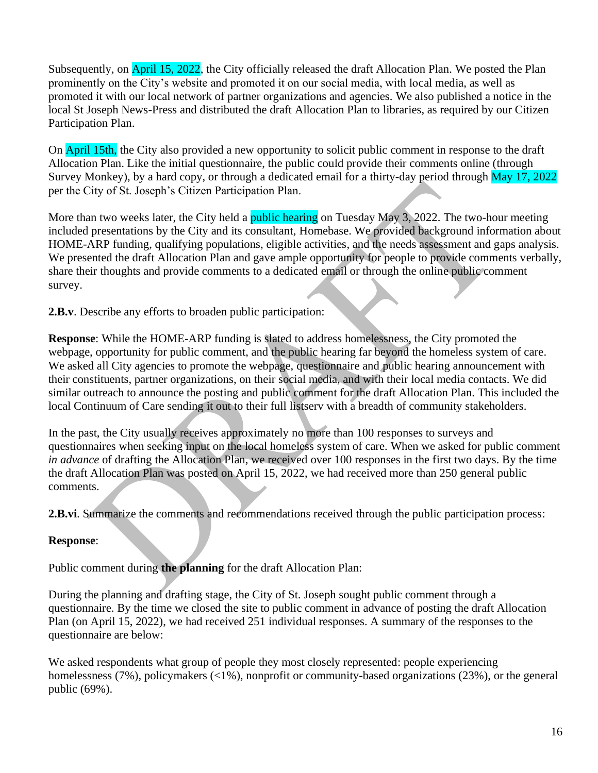Subsequently, on April 15, 2022, the City officially released the draft Allocation Plan. We posted the Plan prominently on the City's website and promoted it on our social media, with local media, as well as promoted it with our local network of partner organizations and agencies. We also published a notice in the local St Joseph News-Press and distributed the draft Allocation Plan to libraries, as required by our Citizen Participation Plan.

On April 15th, the City also provided a new opportunity to solicit public comment in response to the draft Allocation Plan. Like the initial questionnaire, the public could provide their comments online (through Survey Monkey), by a hard copy, or through a dedicated email for a thirty-day period through May 17, 2022 per the City of St. Joseph's Citizen Participation Plan.

More than two weeks later, the City held a public hearing on Tuesday May 3, 2022. The two-hour meeting included presentations by the City and its consultant, Homebase. We provided background information about HOME-ARP funding, qualifying populations, eligible activities, and the needs assessment and gaps analysis. We presented the draft Allocation Plan and gave ample opportunity for people to provide comments verbally, share their thoughts and provide comments to a dedicated email or through the online public comment survey.

**2.B.v**. Describe any efforts to broaden public participation:

**Response**: While the HOME-ARP funding is slated to address homelessness, the City promoted the webpage, opportunity for public comment, and the public hearing far beyond the homeless system of care. We asked all City agencies to promote the webpage, questionnaire and public hearing announcement with their constituents, partner organizations, on their social media, and with their local media contacts. We did similar outreach to announce the posting and public comment for the draft Allocation Plan. This included the local Continuum of Care sending it out to their full listserv with a breadth of community stakeholders.

In the past, the City usually receives approximately no more than 100 responses to surveys and questionnaires when seeking input on the local homeless system of care. When we asked for public comment *in advance* of drafting the Allocation Plan, we received over 100 responses in the first two days. By the time the draft Allocation Plan was posted on April 15, 2022, we had received more than 250 general public comments.

**2.B.vi**. Summarize the comments and recommendations received through the public participation process:

# **Response**:

Public comment during **the planning** for the draft Allocation Plan:

During the planning and drafting stage, the City of St. Joseph sought public comment through a questionnaire. By the time we closed the site to public comment in advance of posting the draft Allocation Plan (on April 15, 2022), we had received 251 individual responses. A summary of the responses to the questionnaire are below:

We asked respondents what group of people they most closely represented: people experiencing homelessness (7%), policymakers (<1%), nonprofit or community-based organizations (23%), or the general public (69%).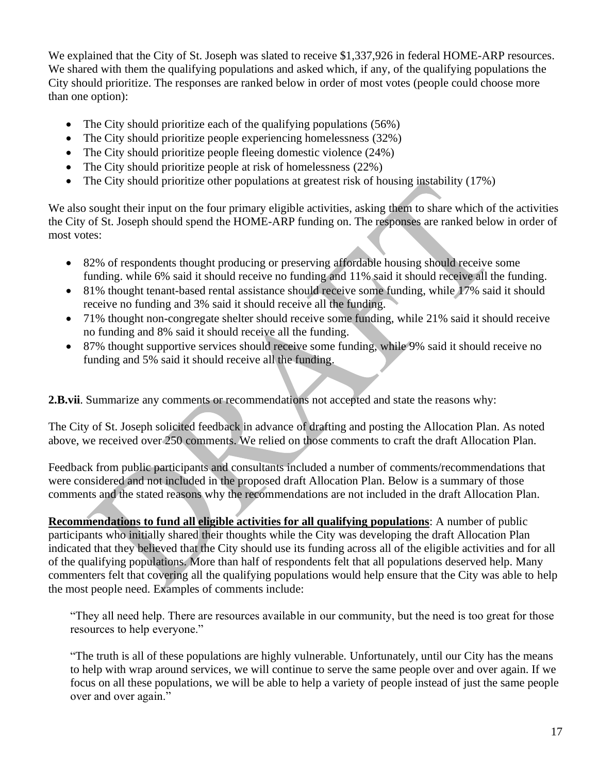We explained that the City of St. Joseph was slated to receive \$1,337,926 in federal HOME-ARP resources. We shared with them the qualifying populations and asked which, if any, of the qualifying populations the City should prioritize. The responses are ranked below in order of most votes (people could choose more than one option):

- The City should prioritize each of the qualifying populations (56%)
- The City should prioritize people experiencing homelessness (32%)
- The City should prioritize people fleeing domestic violence (24%)
- The City should prioritize people at risk of homelessness  $(22%)$
- The City should prioritize other populations at greatest risk of housing instability (17%)

We also sought their input on the four primary eligible activities, asking them to share which of the activities the City of St. Joseph should spend the HOME-ARP funding on. The responses are ranked below in order of most votes:

- 82% of respondents thought producing or preserving affordable housing should receive some funding. while 6% said it should receive no funding and 11% said it should receive all the funding.
- 81% thought tenant-based rental assistance should receive some funding, while 17% said it should receive no funding and 3% said it should receive all the funding.
- 71% thought non-congregate shelter should receive some funding, while 21% said it should receive no funding and 8% said it should receive all the funding.
- 87% thought supportive services should receive some funding, while 9% said it should receive no funding and 5% said it should receive all the funding.

**2.B.vii**. Summarize any comments or recommendations not accepted and state the reasons why:

The City of St. Joseph solicited feedback in advance of drafting and posting the Allocation Plan. As noted above, we received over 250 comments. We relied on those comments to craft the draft Allocation Plan.

Feedback from public participants and consultants included a number of comments/recommendations that were considered and not included in the proposed draft Allocation Plan. Below is a summary of those comments and the stated reasons why the recommendations are not included in the draft Allocation Plan.

**Recommendations to fund all eligible activities for all qualifying populations**: A number of public participants who initially shared their thoughts while the City was developing the draft Allocation Plan indicated that they believed that the City should use its funding across all of the eligible activities and for all of the qualifying populations. More than half of respondents felt that all populations deserved help. Many commenters felt that covering all the qualifying populations would help ensure that the City was able to help the most people need. Examples of comments include:

"They all need help. There are resources available in our community, but the need is too great for those resources to help everyone."

"The truth is all of these populations are highly vulnerable. Unfortunately, until our City has the means to help with wrap around services, we will continue to serve the same people over and over again. If we focus on all these populations, we will be able to help a variety of people instead of just the same people over and over again."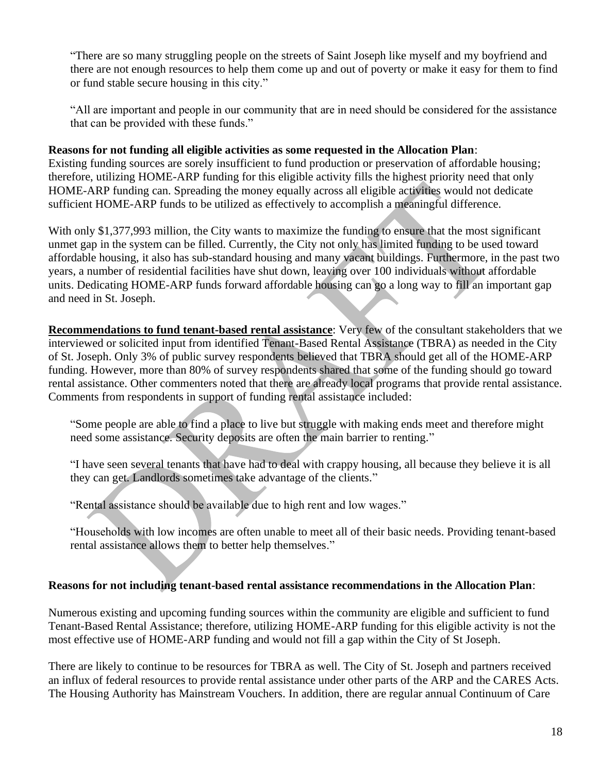"There are so many struggling people on the streets of Saint Joseph like myself and my boyfriend and there are not enough resources to help them come up and out of poverty or make it easy for them to find or fund stable secure housing in this city."

"All are important and people in our community that are in need should be considered for the assistance that can be provided with these funds."

#### **Reasons for not funding all eligible activities as some requested in the Allocation Plan**:

Existing funding sources are sorely insufficient to fund production or preservation of affordable housing; therefore, utilizing HOME-ARP funding for this eligible activity fills the highest priority need that only HOME-ARP funding can. Spreading the money equally across all eligible activities would not dedicate sufficient HOME-ARP funds to be utilized as effectively to accomplish a meaningful difference.

With only \$1,377,993 million, the City wants to maximize the funding to ensure that the most significant unmet gap in the system can be filled. Currently, the City not only has limited funding to be used toward affordable housing, it also has sub-standard housing and many vacant buildings. Furthermore, in the past two years, a number of residential facilities have shut down, leaving over 100 individuals without affordable units. Dedicating HOME-ARP funds forward affordable housing can go a long way to fill an important gap and need in St. Joseph.

**Recommendations to fund tenant-based rental assistance**: Very few of the consultant stakeholders that we interviewed or solicited input from identified Tenant-Based Rental Assistance (TBRA) as needed in the City of St. Joseph. Only 3% of public survey respondents believed that TBRA should get all of the HOME-ARP funding. However, more than 80% of survey respondents shared that some of the funding should go toward rental assistance. Other commenters noted that there are already local programs that provide rental assistance. Comments from respondents in support of funding rental assistance included:

"Some people are able to find a place to live but struggle with making ends meet and therefore might need some assistance. Security deposits are often the main barrier to renting."

"I have seen several tenants that have had to deal with crappy housing, all because they believe it is all they can get. Landlords sometimes take advantage of the clients."

"Rental assistance should be available due to high rent and low wages."

"Households with low incomes are often unable to meet all of their basic needs. Providing tenant-based rental assistance allows them to better help themselves."

#### **Reasons for not including tenant-based rental assistance recommendations in the Allocation Plan**:

Numerous existing and upcoming funding sources within the community are eligible and sufficient to fund Tenant-Based Rental Assistance; therefore, utilizing HOME-ARP funding for this eligible activity is not the most effective use of HOME-ARP funding and would not fill a gap within the City of St Joseph.

There are likely to continue to be resources for TBRA as well. The City of St. Joseph and partners received an influx of federal resources to provide rental assistance under other parts of the ARP and the CARES Acts. The Housing Authority has Mainstream Vouchers. In addition, there are regular annual Continuum of Care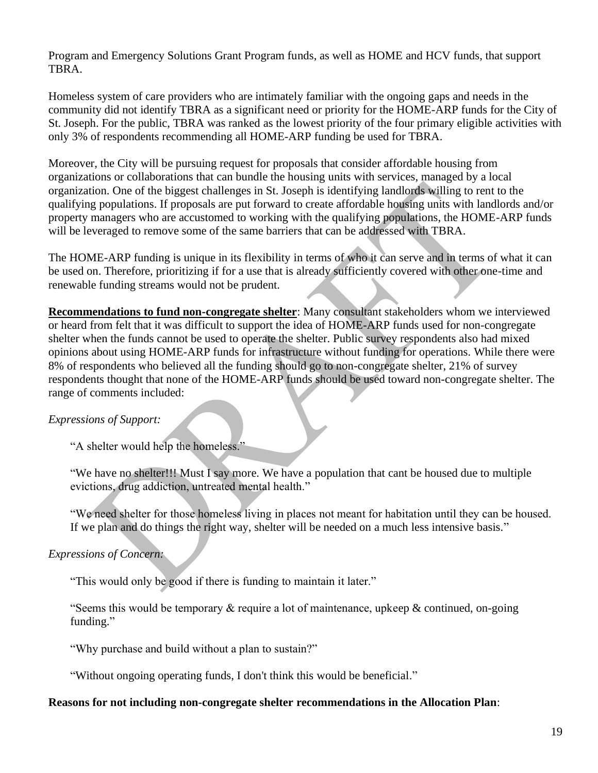Program and Emergency Solutions Grant Program funds, as well as HOME and HCV funds, that support TBRA.

Homeless system of care providers who are intimately familiar with the ongoing gaps and needs in the community did not identify TBRA as a significant need or priority for the HOME-ARP funds for the City of St. Joseph. For the public, TBRA was ranked as the lowest priority of the four primary eligible activities with only 3% of respondents recommending all HOME-ARP funding be used for TBRA.

Moreover, the City will be pursuing request for proposals that consider affordable housing from organizations or collaborations that can bundle the housing units with services, managed by a local organization. One of the biggest challenges in St. Joseph is identifying landlords willing to rent to the qualifying populations. If proposals are put forward to create affordable housing units with landlords and/or property managers who are accustomed to working with the qualifying populations, the HOME-ARP funds will be leveraged to remove some of the same barriers that can be addressed with TBRA.

The HOME-ARP funding is unique in its flexibility in terms of who it can serve and in terms of what it can be used on. Therefore, prioritizing if for a use that is already sufficiently covered with other one-time and renewable funding streams would not be prudent.

**Recommendations to fund non-congregate shelter**: Many consultant stakeholders whom we interviewed or heard from felt that it was difficult to support the idea of HOME-ARP funds used for non-congregate shelter when the funds cannot be used to operate the shelter. Public survey respondents also had mixed opinions about using HOME-ARP funds for infrastructure without funding for operations. While there were 8% of respondents who believed all the funding should go to non-congregate shelter, 21% of survey respondents thought that none of the HOME-ARP funds should be used toward non-congregate shelter. The range of comments included:

#### *Expressions of Support:*

"A shelter would help the homeless."

"We have no shelter!!! Must I say more. We have a population that cant be housed due to multiple evictions, drug addiction, untreated mental health."

"We need shelter for those homeless living in places not meant for habitation until they can be housed. If we plan and do things the right way, shelter will be needed on a much less intensive basis."

*Expressions of Concern:*

"This would only be good if there is funding to maintain it later."

"Seems this would be temporary  $\&$  require a lot of maintenance, upkeep  $\&$  continued, on-going funding."

"Why purchase and build without a plan to sustain?"

"Without ongoing operating funds, I don't think this would be beneficial."

#### **Reasons for not including non-congregate shelter recommendations in the Allocation Plan**: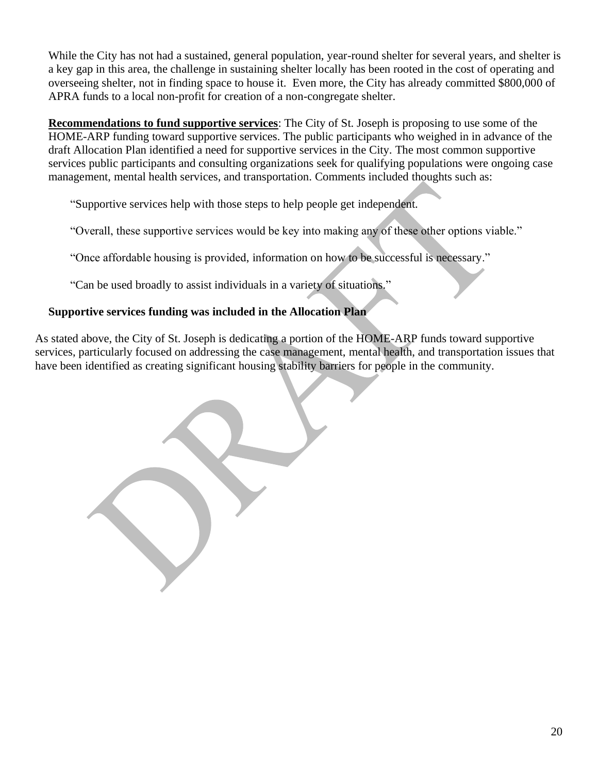While the City has not had a sustained, general population, year-round shelter for several years, and shelter is a key gap in this area, the challenge in sustaining shelter locally has been rooted in the cost of operating and overseeing shelter, not in finding space to house it. Even more, the City has already committed \$800,000 of APRA funds to a local non-profit for creation of a non-congregate shelter.

**Recommendations to fund supportive services**: The City of St. Joseph is proposing to use some of the HOME-ARP funding toward supportive services. The public participants who weighed in in advance of the draft Allocation Plan identified a need for supportive services in the City. The most common supportive services public participants and consulting organizations seek for qualifying populations were ongoing case management, mental health services, and transportation. Comments included thoughts such as:

"Supportive services help with those steps to help people get independent.

"Overall, these supportive services would be key into making any of these other options viable."

"Once affordable housing is provided, information on how to be successful is necessary."

"Can be used broadly to assist individuals in a variety of situations."

# **Supportive services funding was included in the Allocation Plan**

As stated above, the City of St. Joseph is dedicating a portion of the HOME-ARP funds toward supportive services, particularly focused on addressing the case management, mental health, and transportation issues that have been identified as creating significant housing stability barriers for people in the community.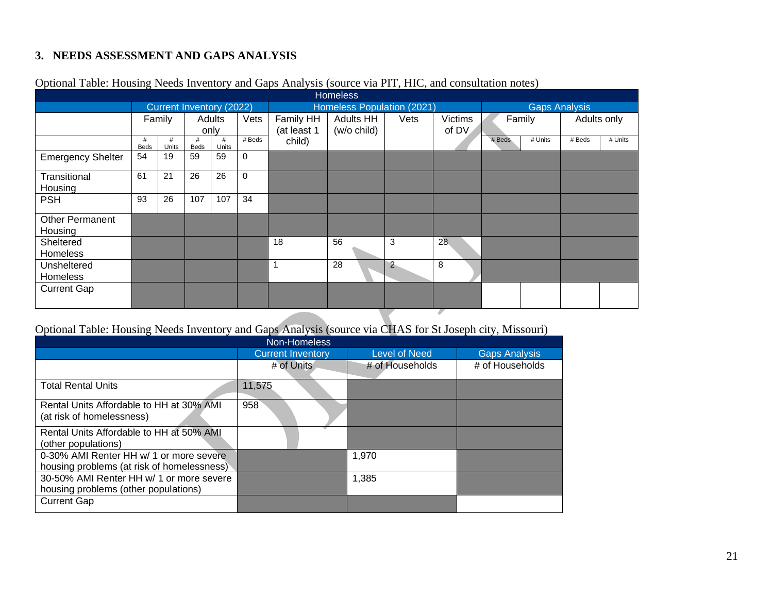# **3. NEEDS ASSESSMENT AND GAPS ANALYSIS**

| <b>Homeless</b>          |            |        |            |             |             |                  |                |                |                            |  |                   |         |
|--------------------------|------------|--------|------------|-------------|-------------|------------------|----------------|----------------|----------------------------|--|-------------------|---------|
| Current Inventory (2022) |            |        |            |             |             |                  |                |                | <b>Gaps Analysis</b>       |  |                   |         |
|                          |            |        |            | Vets        | Family HH   | <b>Adults HH</b> | Vets           | <b>Victims</b> |                            |  | Adults only       |         |
|                          | only       |        |            |             | (at least 1 | (w/o child)      |                | of DV          |                            |  |                   |         |
| #<br><b>Beds</b>         | #<br>Units | #      | #<br>Units | # Beds      | child)      |                  |                |                | # Beds                     |  | # Beds            | # Units |
| 54                       | 19         | 59     | 59         | 0           |             |                  |                |                |                            |  |                   |         |
| 61                       | 21         | 26     | 26         | $\mathbf 0$ |             |                  |                |                |                            |  |                   |         |
| 93                       | 26         | 107    | 107        | 34          |             |                  |                |                |                            |  |                   |         |
|                          |            |        |            |             |             |                  |                |                |                            |  |                   |         |
|                          |            |        |            |             |             |                  |                |                |                            |  |                   |         |
|                          |            |        |            |             | 18          | 56               | 3              | 28             |                            |  |                   |         |
|                          |            |        |            |             |             |                  |                |                |                            |  |                   |         |
|                          |            |        |            |             | 1           | 28               | $\overline{2}$ | 8              |                            |  |                   |         |
|                          |            |        |            |             |             |                  |                |                |                            |  |                   |         |
|                          |            |        |            |             |             |                  |                |                |                            |  |                   |         |
|                          |            | Family | Beds       | Adults      |             |                  |                |                | Homeless Population (2021) |  | Family<br># Units |         |

### Optional Table: Housing Needs Inventory and Gaps Analysis (source via PIT, HIC, and consultation notes)

# Optional Table: Housing Needs Inventory and Gaps Analysis (source via CHAS for St Joseph city, Missouri)

| Non-Homeless                                                                          |                          |                      |                      |  |  |  |  |  |
|---------------------------------------------------------------------------------------|--------------------------|----------------------|----------------------|--|--|--|--|--|
|                                                                                       | <b>Current Inventory</b> | <b>Level of Need</b> | <b>Gaps Analysis</b> |  |  |  |  |  |
|                                                                                       | # of Units               | # of Households      | # of Households      |  |  |  |  |  |
| <b>Total Rental Units</b>                                                             | 11,575                   |                      |                      |  |  |  |  |  |
| Rental Units Affordable to HH at 30% AMI<br>(at risk of homelessness)                 | 958                      |                      |                      |  |  |  |  |  |
| Rental Units Affordable to HH at 50% AMI<br>(other populations)                       |                          |                      |                      |  |  |  |  |  |
| 0-30% AMI Renter HH w/ 1 or more severe<br>housing problems (at risk of homelessness) |                          | 1,970                |                      |  |  |  |  |  |
| 30-50% AMI Renter HH w/ 1 or more severe<br>housing problems (other populations)      |                          | 1,385                |                      |  |  |  |  |  |
| <b>Current Gap</b>                                                                    |                          |                      |                      |  |  |  |  |  |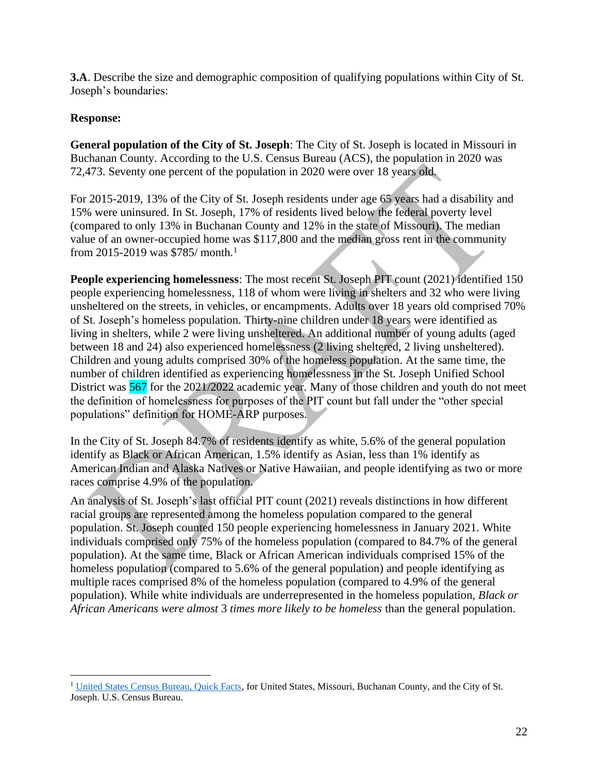**3.A**. Describe the size and demographic composition of qualifying populations within City of St. Joseph's boundaries:

#### **Response:**

**General population of the City of St. Joseph**: The City of St. Joseph is located in Missouri in Buchanan County. According to the U.S. Census Bureau (ACS), the population in 2020 was 72,473. Seventy one percent of the population in 2020 were over 18 years old.

For 2015-2019, 13% of the City of St. Joseph residents under age 65 years had a disability and 15% were uninsured. In St. Joseph, 17% of residents lived below the federal poverty level (compared to only 13% in Buchanan County and 12% in the state of Missouri). The median value of an owner-occupied home was \$117,800 and the median gross rent in the community from 2015-2019 was \$785/ month.<sup>1</sup>

**People experiencing homelessness**: The most recent St. Joseph PIT count (2021) identified 150 people experiencing homelessness, 118 of whom were living in shelters and 32 who were living unsheltered on the streets, in vehicles, or encampments. Adults over 18 years old comprised 70% of St. Joseph's homeless population. Thirty-nine children under 18 years were identified as living in shelters, while 2 were living unsheltered. An additional number of young adults (aged between 18 and 24) also experienced homelessness (2 living sheltered, 2 living unsheltered). Children and young adults comprised 30% of the homeless population. At the same time, the number of children identified as experiencing homelessness in the St. Joseph Unified School District was 567 for the 2021/2022 academic year. Many of those children and youth do not meet the definition of homelessness for purposes of the PIT count but fall under the "other special populations" definition for HOME-ARP purposes.

In the City of St. Joseph 84.7% of residents identify as white, 5.6% of the general population identify as Black or African American, 1.5% identify as Asian, less than 1% identify as American Indian and Alaska Natives or Native Hawaiian, and people identifying as two or more races comprise 4.9% of the population.

An analysis of St. Joseph's last official PIT count (2021) reveals distinctions in how different racial groups are represented among the homeless population compared to the general population. St. Joseph counted 150 people experiencing homelessness in January 2021. White individuals comprised only 75% of the homeless population (compared to 84.7% of the general population). At the same time, Black or African American individuals comprised 15% of the homeless population (compared to 5.6% of the general population) and people identifying as multiple races comprised 8% of the homeless population (compared to 4.9% of the general population). While white individuals are underrepresented in the homeless population, *Black or African Americans were almost* 3 *times more likely to be homeless* than the general population.

<sup>&</sup>lt;sup>1</sup> [United States Census Bureau, Quick Facts,](https://www.census.gov/quickfacts/fact/table/stjosephcitymissouri,buchanancountymissouri,MO,US/PST045221) for United States, Missouri, Buchanan County, and the City of St. Joseph. U.S. Census Bureau.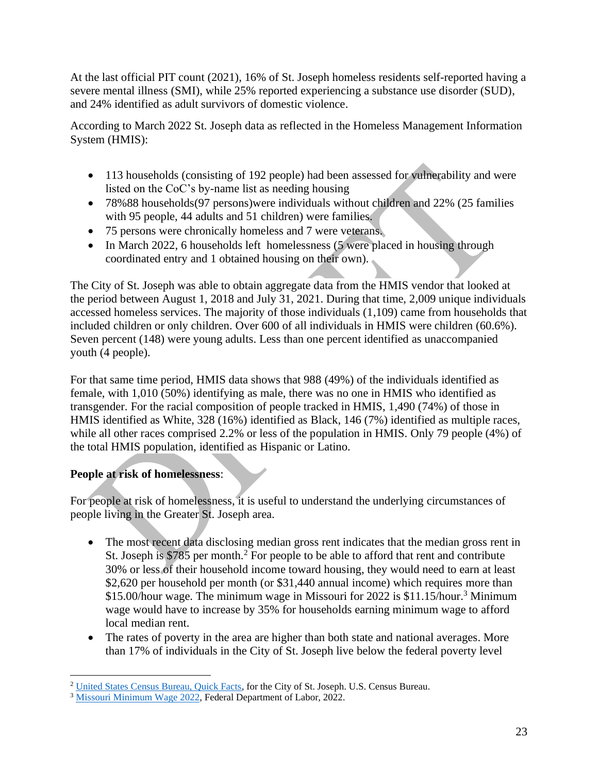At the last official PIT count (2021), 16% of St. Joseph homeless residents self-reported having a severe mental illness (SMI), while 25% reported experiencing a substance use disorder (SUD), and 24% identified as adult survivors of domestic violence.

According to March 2022 St. Joseph data as reflected in the Homeless Management Information System (HMIS):

- 113 households (consisting of 192 people) had been assessed for vulnerability and were listed on the CoC's by-name list as needing housing
- 78%88 households(97 persons) were individuals without children and 22% (25 families with 95 people, 44 adults and 51 children) were families.
- 75 persons were chronically homeless and 7 were veterans.
- In March 2022, 6 households left homelessness (5 were placed in housing through coordinated entry and 1 obtained housing on their own).

The City of St. Joseph was able to obtain aggregate data from the HMIS vendor that looked at the period between August 1, 2018 and July 31, 2021. During that time, 2,009 unique individuals accessed homeless services. The majority of those individuals (1,109) came from households that included children or only children. Over 600 of all individuals in HMIS were children (60.6%). Seven percent (148) were young adults. Less than one percent identified as unaccompanied youth (4 people).

For that same time period, HMIS data shows that 988 (49%) of the individuals identified as female, with 1,010 (50%) identifying as male, there was no one in HMIS who identified as transgender. For the racial composition of people tracked in HMIS, 1,490 (74%) of those in HMIS identified as White, 328 (16%) identified as Black, 146 (7%) identified as multiple races, while all other races comprised 2.2% or less of the population in HMIS. Only 79 people (4%) of the total HMIS population, identified as Hispanic or Latino.

# **People at risk of homelessness**:

For people at risk of homelessness, it is useful to understand the underlying circumstances of people living in the Greater St. Joseph area.

- The most recent data disclosing median gross rent indicates that the median gross rent in St. Joseph is \$785 per month.<sup>2</sup> For people to be able to afford that rent and contribute 30% or less of their household income toward housing, they would need to earn at least \$2,620 per household per month (or \$31,440 annual income) which requires more than \$15.00/hour wage. The minimum wage in Missouri for 2022 is \$11.15/hour. <sup>3</sup> Minimum wage would have to increase by 35% for households earning minimum wage to afford local median rent.
- The rates of poverty in the area are higher than both state and national averages. More than 17% of individuals in the City of St. Joseph live below the federal poverty level

<sup>&</sup>lt;sup>2</sup> [United States Census Bureau, Quick Facts,](https://www.census.gov/quickfacts/fact/table/stjosephcitymissouri,buchanancountymissouri,MO,US/PST045221) for the City of St. Joseph. U.S. Census Bureau.

<sup>&</sup>lt;sup>3</sup> [Missouri Minimum Wage 2022,](https://labor.mo.gov/DLS/MinimumWage) Federal Department of Labor, 2022.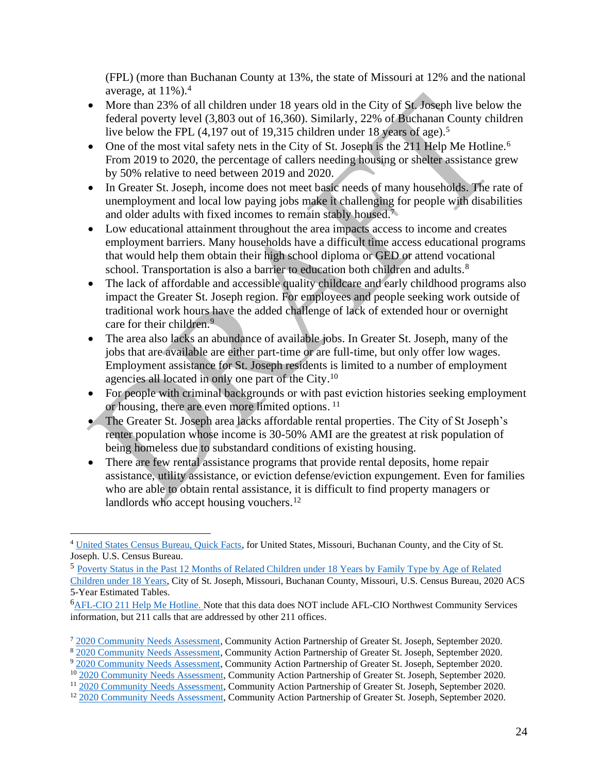(FPL) (more than Buchanan County at 13%, the state of Missouri at 12% and the national average, at  $11\%$ ).<sup>4</sup>

- More than 23% of all children under 18 years old in the City of St. Joseph live below the federal poverty level (3,803 out of 16,360). Similarly, 22% of Buchanan County children live below the FPL (4,197 out of 19,315 children under 18 years of age).<sup>5</sup>
- One of the most vital safety nets in the City of St. Joseph is the 211 Help Me Hotline.<sup>6</sup> From 2019 to 2020, the percentage of callers needing housing or shelter assistance grew by 50% relative to need between 2019 and 2020.
- In Greater St. Joseph, income does not meet basic needs of many households. The rate of unemployment and local low paying jobs make it challenging for people with disabilities and older adults with fixed incomes to remain stably housed.<sup>7</sup>
- Low educational attainment throughout the area impacts access to income and creates employment barriers. Many households have a difficult time access educational programs that would help them obtain their high school diploma or GED or attend vocational school. Transportation is also a barrier to education both children and adults.<sup>8</sup>
- The lack of affordable and accessible quality childcare and early childhood programs also impact the Greater St. Joseph region. For employees and people seeking work outside of traditional work hours have the added challenge of lack of extended hour or overnight care for their children.<sup>9</sup>
- The area also lacks an abundance of available jobs. In Greater St. Joseph, many of the jobs that are available are either part-time or are full-time, but only offer low wages. Employment assistance for St. Joseph residents is limited to a number of employment agencies all located in only one part of the City.<sup>10</sup>
- For people with criminal backgrounds or with past eviction histories seeking employment or housing, there are even more limited options. 11
- The Greater St. Joseph area lacks affordable rental properties. The City of St Joseph's renter population whose income is 30-50% AMI are the greatest at risk population of being homeless due to substandard conditions of existing housing.
- There are few rental assistance programs that provide rental deposits, home repair assistance, utility assistance, or eviction defense/eviction expungement. Even for families who are able to obtain rental assistance, it is difficult to find property managers or landlords who accept housing vouchers.<sup>12</sup>

<sup>&</sup>lt;sup>4</sup> [United States Census Bureau, Quick Facts,](https://www.census.gov/quickfacts/fact/table/stjosephcitymissouri,buchanancountymissouri,MO,US/PST045221) for United States, Missouri, Buchanan County, and the City of St. Joseph. U.S. Census Bureau.

<sup>5</sup> [Poverty Status in the Past 12 Months of Related Children under 18 Years by Family Type by Age of Related](https://data.census.gov/cedsci/table?q=POVERTY%20STATUS%20IN%20THE%20PAST%2012%20MONTHS%20OF%20RELATED%20CHILDREN%20UNDER%2018%20YEARS%20BY%20FAMILY%20TYPE%20BY%20AGE%20OF%20RELATED%20CHILDREN%20UNDER%2018%20YEARS%20City%20of%20St.%20Joseph%20Missouri&g=0500000US29021_1600000US2964550&tid=ACSDT5Y2020.B17006)  [Children under 18 Years,](https://data.census.gov/cedsci/table?q=POVERTY%20STATUS%20IN%20THE%20PAST%2012%20MONTHS%20OF%20RELATED%20CHILDREN%20UNDER%2018%20YEARS%20BY%20FAMILY%20TYPE%20BY%20AGE%20OF%20RELATED%20CHILDREN%20UNDER%2018%20YEARS%20City%20of%20St.%20Joseph%20Missouri&g=0500000US29021_1600000US2964550&tid=ACSDT5Y2020.B17006) City of St. Joseph, Missouri, Buchanan County, Missouri, U.S. Census Bureau, 2020 ACS 5-Year Estimated Tables.

<sup>&</sup>lt;sup>6</sup>[AFL-CIO 211 Help Me Hotline.](https://helpmenow.myresourcedirectory.com/) Note that this data does NOT include AFL-CIO Northwest Community Services information, but 211 calls that are addressed by other 211 offices.

<sup>&</sup>lt;sup>7</sup> [2020 Community Needs Assessment,](https://www.capstjoe.org/wp-content/uploads/2018/09/2020-COMMUNITY-NEEDS-ASSESSMENT-CAPSTJOE-FINAL.pdf) Community Action Partnership of Greater St. Joseph, September 2020.

<sup>&</sup>lt;sup>8</sup> [2020 Community Needs Assessment,](https://www.capstjoe.org/wp-content/uploads/2018/09/2020-COMMUNITY-NEEDS-ASSESSMENT-CAPSTJOE-FINAL.pdf) Community Action Partnership of Greater St. Joseph, September 2020.

<sup>9</sup> [2020 Community Needs Assessment,](https://www.capstjoe.org/wp-content/uploads/2018/09/2020-COMMUNITY-NEEDS-ASSESSMENT-CAPSTJOE-FINAL.pdf) Community Action Partnership of Greater St. Joseph, September 2020.

<sup>&</sup>lt;sup>10</sup> [2020 Community Needs Assessment,](https://www.capstjoe.org/wp-content/uploads/2018/09/2020-COMMUNITY-NEEDS-ASSESSMENT-CAPSTJOE-FINAL.pdf) Community Action Partnership of Greater St. Joseph, September 2020.

<sup>&</sup>lt;sup>11</sup> [2020 Community Needs Assessment,](https://www.capstjoe.org/wp-content/uploads/2018/09/2020-COMMUNITY-NEEDS-ASSESSMENT-CAPSTJOE-FINAL.pdf) Community Action Partnership of Greater St. Joseph, September 2020.

<sup>&</sup>lt;sup>12</sup> [2020 Community Needs Assessment,](https://www.capstjoe.org/wp-content/uploads/2018/09/2020-COMMUNITY-NEEDS-ASSESSMENT-CAPSTJOE-FINAL.pdf) Community Action Partnership of Greater St. Joseph, September 2020.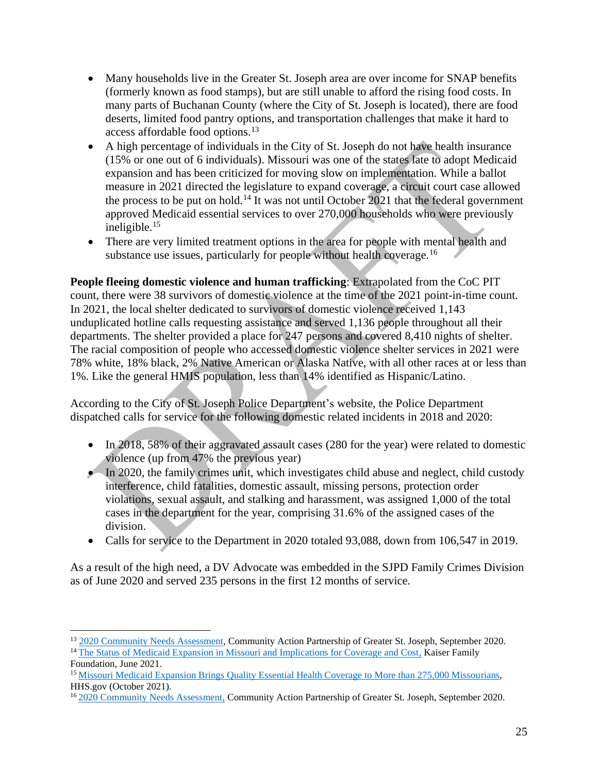- Many households live in the Greater St. Joseph area are over income for SNAP benefits (formerly known as food stamps), but are still unable to afford the rising food costs. In many parts of Buchanan County (where the City of St. Joseph is located), there are food deserts, limited food pantry options, and transportation challenges that make it hard to access affordable food options.<sup>13</sup>
- A high percentage of individuals in the City of St. Joseph do not have health insurance (15% or one out of 6 individuals). Missouri was one of the states late to adopt Medicaid expansion and has been criticized for moving slow on implementation. While a ballot measure in 2021 directed the legislature to expand coverage, a circuit court case allowed the process to be put on hold.<sup>14</sup> It was not until October 2021 that the federal government approved Medicaid essential services to over 270,000 households who were previously ineligible.<sup>15</sup>
- There are very limited treatment options in the area for people with mental health and substance use issues, particularly for people without health coverage.<sup>16</sup>

**People fleeing domestic violence and human trafficking**: Extrapolated from the CoC PIT count, there were 38 survivors of domestic violence at the time of the 2021 point-in-time count. In 2021, the local shelter dedicated to survivors of domestic violence received 1,143 unduplicated hotline calls requesting assistance and served 1,136 people throughout all their departments. The shelter provided a place for 247 persons and covered 8,410 nights of shelter. The racial composition of people who accessed domestic violence shelter services in 2021 were 78% white, 18% black, 2% Native American or Alaska Native, with all other races at or less than 1%. Like the general HMIS population, less than 14% identified as Hispanic/Latino.

According to the City of St. Joseph Police Department's website, the Police Department dispatched calls for service for the following domestic related incidents in 2018 and 2020:

- In 2018, 58% of their aggravated assault cases (280 for the year) were related to domestic violence (up from 47% the previous year)
- In 2020, the family crimes unit, which investigates child abuse and neglect, child custody interference, child fatalities, domestic assault, missing persons, protection order violations, sexual assault, and stalking and harassment, was assigned 1,000 of the total cases in the department for the year, comprising 31.6% of the assigned cases of the division.
- Calls for service to the Department in 2020 totaled 93,088, down from 106,547 in 2019.

As a result of the high need, a DV Advocate was embedded in the SJPD Family Crimes Division as of June 2020 and served 235 persons in the first 12 months of service.

<sup>&</sup>lt;sup>13</sup> [2020 Community Needs Assessment,](https://www.capstjoe.org/wp-content/uploads/2018/09/2020-COMMUNITY-NEEDS-ASSESSMENT-CAPSTJOE-FINAL.pdf) Community Action Partnership of Greater St. Joseph, September 2020. <sup>14</sup> [The Status of Medicaid Expansion in Missouri and Implications for Coverage and Cost,](https://www.kff.org/policy-watch/status-of-medicaid-expansion-in-missouri-and-implications-for-coverage-and-cost/) Kaiser Family Foundation, June 2021.

<sup>15</sup> [Missouri Medicaid Expansion Brings Quality Essential Health Coverage to More than 275,000 Missourians,](https://www.hhs.gov/about/news/2021/10/04/missouri-medicaid-expansion-brings-quality-essential-health-coverage.html) HHS.gov (October 2021).

<sup>&</sup>lt;sup>16</sup> [2020 Community Needs Assessment,](https://www.capstjoe.org/wp-content/uploads/2018/09/2020-COMMUNITY-NEEDS-ASSESSMENT-CAPSTJOE-FINAL.pdf) Community Action Partnership of Greater St. Joseph, September 2020.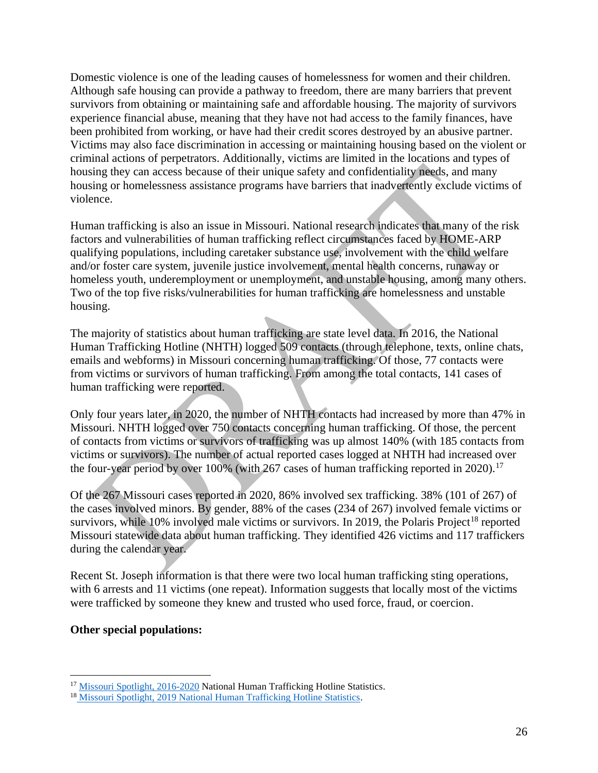Domestic violence is one of the leading causes of homelessness for women and their children. Although safe housing can provide a pathway to freedom, there are many barriers that prevent survivors from obtaining or maintaining safe and affordable housing. The majority of survivors experience financial abuse, meaning that they have not had access to the family finances, have been prohibited from working, or have had their credit scores destroyed by an abusive partner. Victims may also face discrimination in accessing or maintaining housing based on the violent or criminal actions of perpetrators. Additionally, victims are limited in the locations and types of housing they can access because of their unique safety and confidentiality needs, and many housing or homelessness assistance programs have barriers that inadvertently exclude victims of violence.

Human trafficking is also an issue in Missouri. National research indicates that many of the risk factors and vulnerabilities of human trafficking reflect circumstances faced by HOME-ARP qualifying populations, including caretaker substance use, involvement with the child welfare and/or foster care system, juvenile justice involvement, mental health concerns, runaway or homeless youth, underemployment or unemployment, and unstable housing, among many others. Two of the top five risks/vulnerabilities for human trafficking are homelessness and unstable housing.

The majority of statistics about human trafficking are state level data. In 2016, the National Human Trafficking Hotline (NHTH) logged 509 contacts (through telephone, texts, online chats, emails and webforms) in Missouri concerning human trafficking. Of those, 77 contacts were from victims or survivors of human trafficking. From among the total contacts, 141 cases of human trafficking were reported.

Only four years later, in 2020, the number of NHTH contacts had increased by more than 47% in Missouri. NHTH logged over 750 contacts concerning human trafficking. Of those, the percent of contacts from victims or survivors of trafficking was up almost 140% (with 185 contacts from victims or survivors). The number of actual reported cases logged at NHTH had increased over the four-year period by over  $100\%$  (with 267 cases of human trafficking reported in 2020).<sup>17</sup>

Of the 267 Missouri cases reported in 2020, 86% involved sex trafficking. 38% (101 of 267) of the cases involved minors. By gender, 88% of the cases (234 of 267) involved female victims or survivors, while  $10\%$  involved male victims or survivors. In 2019, the Polaris Project<sup>18</sup> reported Missouri statewide data about human trafficking. They identified 426 victims and 117 traffickers during the calendar year.

Recent St. Joseph information is that there were two local human trafficking sting operations, with 6 arrests and 11 victims (one repeat). Information suggests that locally most of the victims were trafficked by someone they knew and trusted who used force, fraud, or coercion.

#### **Other special populations:**

<sup>&</sup>lt;sup>17</sup> [Missouri Spotlight, 2016-2020](https://humantraffickinghotline.org/state/missouri) National Human Trafficking Hotline Statistics.

<sup>&</sup>lt;sup>18</sup> Missouri [Spotlight, 2019 National Human Trafficking Hotline Statistics.](https://polarisproject.org/wp-content/uploads/2020/11/2019-Missouri-State-Report.pdf)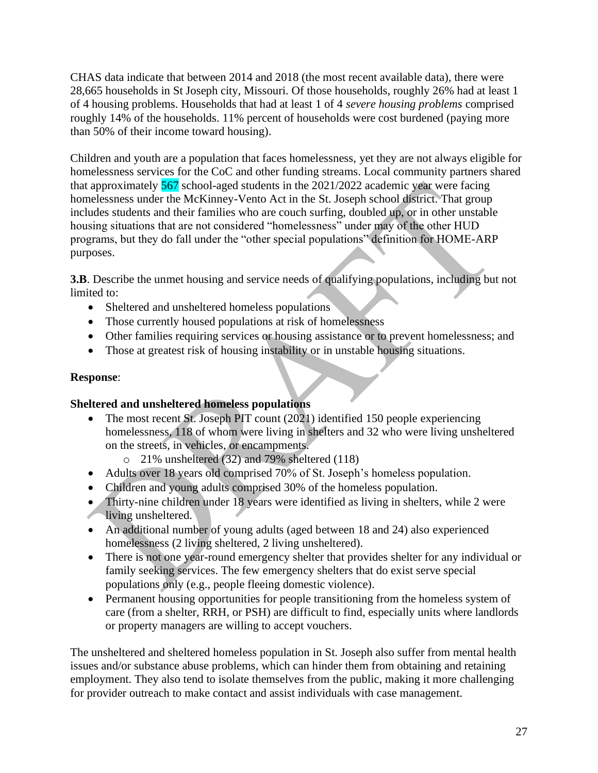CHAS data indicate that between 2014 and 2018 (the most recent available data), there were 28,665 households in St Joseph city, Missouri. Of those households, roughly 26% had at least 1 of 4 housing problems. Households that had at least 1 of 4 *severe housing problems* comprised roughly 14% of the households. 11% percent of households were cost burdened (paying more than 50% of their income toward housing).

Children and youth are a population that faces homelessness, yet they are not always eligible for homelessness services for the CoC and other funding streams. Local community partners shared that approximately 567 school-aged students in the 2021/2022 academic year were facing homelessness under the McKinney-Vento Act in the St. Joseph school district. That group includes students and their families who are couch surfing, doubled up, or in other unstable housing situations that are not considered "homelessness" under may of the other HUD programs, but they do fall under the "other special populations" definition for HOME-ARP purposes.

**3.B**. Describe the unmet housing and service needs of qualifying populations, including but not limited to:

- Sheltered and unsheltered homeless populations
- Those currently housed populations at risk of homelessness
- Other families requiring services or housing assistance or to prevent homelessness; and
- Those at greatest risk of housing instability or in unstable housing situations.

#### **Response**:

#### **Sheltered and unsheltered homeless populations**

- The most recent St. Joseph PIT count (2021) identified 150 people experiencing homelessness, 118 of whom were living in shelters and 32 who were living unsheltered on the streets, in vehicles, or encampments.
	- o 21% unsheltered (32) and 79% sheltered (118)
- Adults over 18 years old comprised 70% of St. Joseph's homeless population.
- Children and young adults comprised 30% of the homeless population.
- Thirty-nine children under 18 years were identified as living in shelters, while 2 were **living unsheltered.**
- An additional number of young adults (aged between 18 and 24) also experienced homelessness (2 living sheltered, 2 living unsheltered).
- There is not one year-round emergency shelter that provides shelter for any individual or family seeking services. The few emergency shelters that do exist serve special populations only (e.g., people fleeing domestic violence).
- Permanent housing opportunities for people transitioning from the homeless system of care (from a shelter, RRH, or PSH) are difficult to find, especially units where landlords or property managers are willing to accept vouchers.

The unsheltered and sheltered homeless population in St. Joseph also suffer from mental health issues and/or substance abuse problems, which can hinder them from obtaining and retaining employment. They also tend to isolate themselves from the public, making it more challenging for provider outreach to make contact and assist individuals with case management.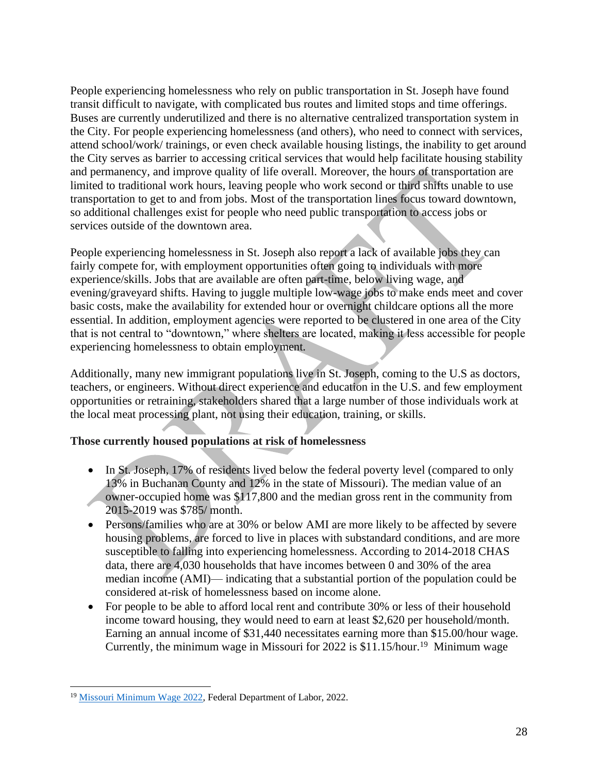People experiencing homelessness who rely on public transportation in St. Joseph have found transit difficult to navigate, with complicated bus routes and limited stops and time offerings. Buses are currently underutilized and there is no alternative centralized transportation system in the City. For people experiencing homelessness (and others), who need to connect with services, attend school/work/ trainings, or even check available housing listings, the inability to get around the City serves as barrier to accessing critical services that would help facilitate housing stability and permanency, and improve quality of life overall. Moreover, the hours of transportation are limited to traditional work hours, leaving people who work second or third shifts unable to use transportation to get to and from jobs. Most of the transportation lines focus toward downtown, so additional challenges exist for people who need public transportation to access jobs or services outside of the downtown area.

People experiencing homelessness in St. Joseph also report a lack of available jobs they can fairly compete for, with employment opportunities often going to individuals with more experience/skills. Jobs that are available are often part-time, below living wage, and evening/graveyard shifts. Having to juggle multiple low-wage jobs to make ends meet and cover basic costs, make the availability for extended hour or overnight childcare options all the more essential. In addition, employment agencies were reported to be clustered in one area of the City that is not central to "downtown," where shelters are located, making it less accessible for people experiencing homelessness to obtain employment.

Additionally, many new immigrant populations live in St. Joseph, coming to the U.S as doctors, teachers, or engineers. Without direct experience and education in the U.S. and few employment opportunities or retraining, stakeholders shared that a large number of those individuals work at the local meat processing plant, not using their education, training, or skills.

#### **Those currently housed populations at risk of homelessness**

- In St. Joseph, 17% of residents lived below the federal poverty level (compared to only 13% in Buchanan County and 12% in the state of Missouri). The median value of an owner-occupied home was \$117,800 and the median gross rent in the community from 2015-2019 was \$785/ month.
- Persons/families who are at 30% or below AMI are more likely to be affected by severe housing problems, are forced to live in places with substandard conditions, and are more susceptible to falling into experiencing homelessness. According to 2014-2018 CHAS data, there are 4,030 households that have incomes between 0 and 30% of the area median income (AMI)— indicating that a substantial portion of the population could be considered at-risk of homelessness based on income alone.
- For people to be able to afford local rent and contribute 30% or less of their household income toward housing, they would need to earn at least \$2,620 per household/month. Earning an annual income of \$31,440 necessitates earning more than \$15.00/hour wage. Currently, the minimum wage in Missouri for 2022 is \$11.15/hour.<sup>19</sup> Minimum wage

<sup>&</sup>lt;sup>19</sup> [Missouri Minimum Wage 2022,](https://labor.mo.gov/DLS/MinimumWage) Federal Department of Labor, 2022.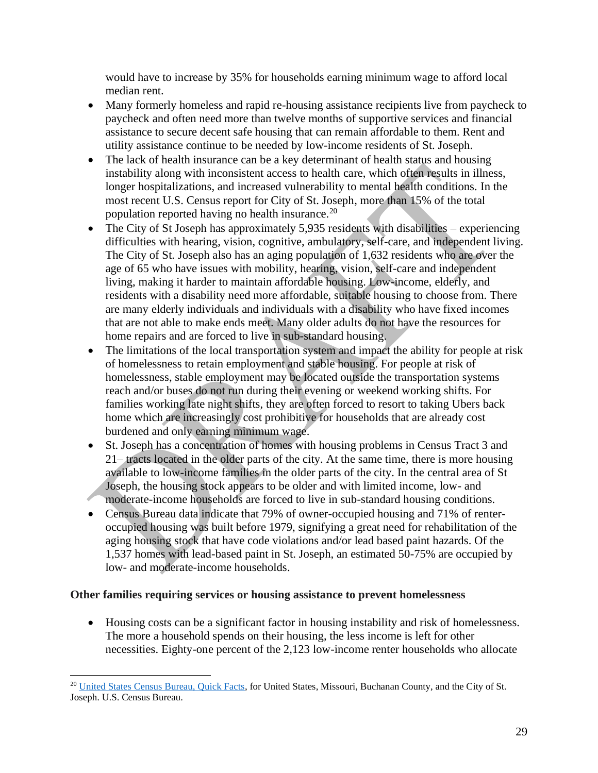would have to increase by 35% for households earning minimum wage to afford local median rent.

- Many formerly homeless and rapid re-housing assistance recipients live from paycheck to paycheck and often need more than twelve months of supportive services and financial assistance to secure decent safe housing that can remain affordable to them. Rent and utility assistance continue to be needed by low-income residents of St. Joseph.
- The lack of health insurance can be a key determinant of health status and housing instability along with inconsistent access to health care, which often results in illness, longer hospitalizations, and increased vulnerability to mental health conditions. In the most recent U.S. Census report for City of St. Joseph, more than 15% of the total population reported having no health insurance.<sup>20</sup>
- The City of St Joseph has approximately 5,935 residents with disabilities experiencing difficulties with hearing, vision, cognitive, ambulatory, self-care, and independent living. The City of St. Joseph also has an aging population of 1,632 residents who are over the age of 65 who have issues with mobility, hearing, vision, self-care and independent living, making it harder to maintain affordable housing. Low-income, elderly, and residents with a disability need more affordable, suitable housing to choose from. There are many elderly individuals and individuals with a disability who have fixed incomes that are not able to make ends meet. Many older adults do not have the resources for home repairs and are forced to live in sub-standard housing.
- The limitations of the local transportation system and impact the ability for people at risk of homelessness to retain employment and stable housing. For people at risk of homelessness, stable employment may be located outside the transportation systems reach and/or buses do not run during their evening or weekend working shifts. For families working late night shifts, they are often forced to resort to taking Ubers back home which are increasingly cost prohibitive for households that are already cost burdened and only earning minimum wage.
- St. Joseph has a concentration of homes with housing problems in Census Tract 3 and 21– tracts located in the older parts of the city. At the same time, there is more housing available to low-income families in the older parts of the city. In the central area of St Joseph, the housing stock appears to be older and with limited income, low- and moderate-income households are forced to live in sub-standard housing conditions.
- Census Bureau data indicate that 79% of owner-occupied housing and 71% of renteroccupied housing was built before 1979, signifying a great need for rehabilitation of the aging housing stock that have code violations and/or lead based paint hazards. Of the 1,537 homes with lead-based paint in St. Joseph, an estimated 50-75% are occupied by low- and moderate-income households.

#### **Other families requiring services or housing assistance to prevent homelessness**

• Housing costs can be a significant factor in housing instability and risk of homelessness. The more a household spends on their housing, the less income is left for other necessities. Eighty-one percent of the 2,123 low-income renter households who allocate

<sup>20</sup> [United States Census Bureau, Quick Facts,](https://www.census.gov/quickfacts/fact/table/stjosephcitymissouri,buchanancountymissouri,MO,US/PST045221) for United States, Missouri, Buchanan County, and the City of St. Joseph. U.S. Census Bureau.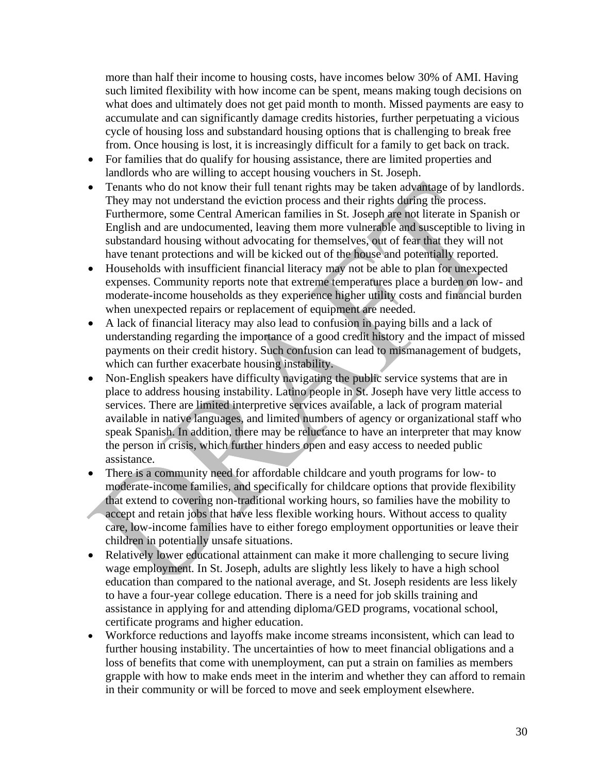more than half their income to housing costs, have incomes below 30% of AMI. Having such limited flexibility with how income can be spent, means making tough decisions on what does and ultimately does not get paid month to month. Missed payments are easy to accumulate and can significantly damage credits histories, further perpetuating a vicious cycle of housing loss and substandard housing options that is challenging to break free from. Once housing is lost, it is increasingly difficult for a family to get back on track.

- For families that do qualify for housing assistance, there are limited properties and landlords who are willing to accept housing vouchers in St. Joseph.
- Tenants who do not know their full tenant rights may be taken advantage of by landlords. They may not understand the eviction process and their rights during the process. Furthermore, some Central American families in St. Joseph are not literate in Spanish or English and are undocumented, leaving them more vulnerable and susceptible to living in substandard housing without advocating for themselves, out of fear that they will not have tenant protections and will be kicked out of the house and potentially reported.
- Households with insufficient financial literacy may not be able to plan for unexpected expenses. Community reports note that extreme temperatures place a burden on low- and moderate-income households as they experience higher utility costs and financial burden when unexpected repairs or replacement of equipment are needed.
- A lack of financial literacy may also lead to confusion in paying bills and a lack of understanding regarding the importance of a good credit history and the impact of missed payments on their credit history. Such confusion can lead to mismanagement of budgets, which can further exacerbate housing instability.
- Non-English speakers have difficulty navigating the public service systems that are in place to address housing instability. Latino people in St. Joseph have very little access to services. There are limited interpretive services available, a lack of program material available in native languages, and limited numbers of agency or organizational staff who speak Spanish. In addition, there may be reluctance to have an interpreter that may know the person in crisis, which further hinders open and easy access to needed public assistance.
- There is a community need for affordable childcare and youth programs for low- to moderate-income families, and specifically for childcare options that provide flexibility that extend to covering non-traditional working hours, so families have the mobility to accept and retain jobs that have less flexible working hours. Without access to quality care, low-income families have to either forego employment opportunities or leave their children in potentially unsafe situations.
- Relatively lower educational attainment can make it more challenging to secure living wage employment. In St. Joseph, adults are slightly less likely to have a high school education than compared to the national average, and St. Joseph residents are less likely to have a four-year college education. There is a need for job skills training and assistance in applying for and attending diploma/GED programs, vocational school, certificate programs and higher education.
- Workforce reductions and layoffs make income streams inconsistent, which can lead to further housing instability. The uncertainties of how to meet financial obligations and a loss of benefits that come with unemployment, can put a strain on families as members grapple with how to make ends meet in the interim and whether they can afford to remain in their community or will be forced to move and seek employment elsewhere.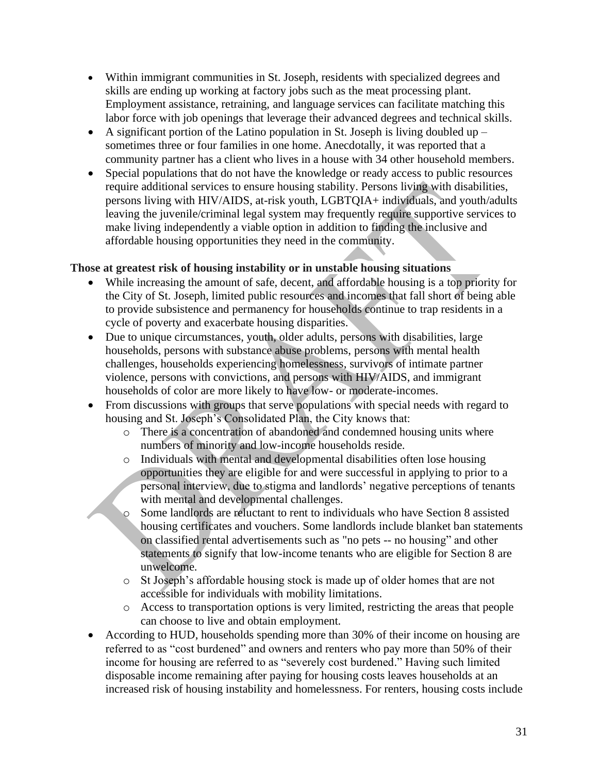- Within immigrant communities in St. Joseph, residents with specialized degrees and skills are ending up working at factory jobs such as the meat processing plant. Employment assistance, retraining, and language services can facilitate matching this labor force with job openings that leverage their advanced degrees and technical skills.
- A significant portion of the Latino population in St. Joseph is living doubled up  $$ sometimes three or four families in one home. Anecdotally, it was reported that a community partner has a client who lives in a house with 34 other household members.
- Special populations that do not have the knowledge or ready access to public resources require additional services to ensure housing stability. Persons living with disabilities, persons living with HIV/AIDS, at-risk youth, LGBTQIA+ individuals, and youth/adults leaving the juvenile/criminal legal system may frequently require supportive services to make living independently a viable option in addition to finding the inclusive and affordable housing opportunities they need in the community.

# **Those at greatest risk of housing instability or in unstable housing situations**

- While increasing the amount of safe, decent, and affordable housing is a top priority for the City of St. Joseph, limited public resources and incomes that fall short of being able to provide subsistence and permanency for households continue to trap residents in a cycle of poverty and exacerbate housing disparities.
- Due to unique circumstances, youth, older adults, persons with disabilities, large households, persons with substance abuse problems, persons with mental health challenges, households experiencing homelessness, survivors of intimate partner violence, persons with convictions, and persons with HIV/AIDS, and immigrant households of color are more likely to have low- or moderate-incomes.
- From discussions with groups that serve populations with special needs with regard to housing and St. Joseph's Consolidated Plan, the City knows that:
	- o There is a concentration of abandoned and condemned housing units where numbers of minority and low-income households reside.
	- o Individuals with mental and developmental disabilities often lose housing opportunities they are eligible for and were successful in applying to prior to a personal interview, due to stigma and landlords' negative perceptions of tenants with mental and developmental challenges.
	- o Some landlords are reluctant to rent to individuals who have Section 8 assisted housing certificates and vouchers. Some landlords include blanket ban statements on classified rental advertisements such as "no pets -- no housing" and other statements to signify that low-income tenants who are eligible for Section 8 are unwelcome.
	- o St Joseph's affordable housing stock is made up of older homes that are not accessible for individuals with mobility limitations.
	- o Access to transportation options is very limited, restricting the areas that people can choose to live and obtain employment.
- According to HUD, households spending more than 30% of their income on housing are referred to as "cost burdened" and owners and renters who pay more than 50% of their income for housing are referred to as "severely cost burdened." Having such limited disposable income remaining after paying for housing costs leaves households at an increased risk of housing instability and homelessness. For renters, housing costs include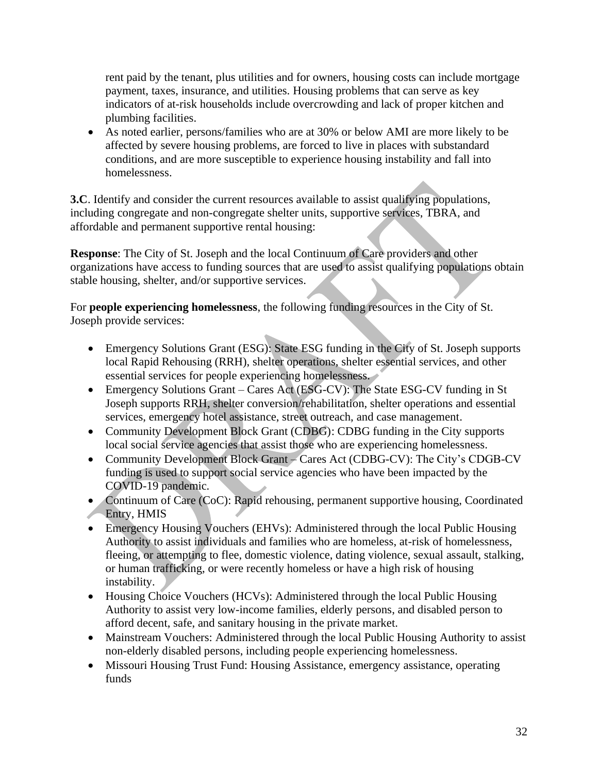rent paid by the tenant, plus utilities and for owners, housing costs can include mortgage payment, taxes, insurance, and utilities. Housing problems that can serve as key indicators of at-risk households include overcrowding and lack of proper kitchen and plumbing facilities.

• As noted earlier, persons/families who are at 30% or below AMI are more likely to be affected by severe housing problems, are forced to live in places with substandard conditions, and are more susceptible to experience housing instability and fall into homelessness.

**3.C**. Identify and consider the current resources available to assist qualifying populations, including congregate and non-congregate shelter units, supportive services, TBRA, and affordable and permanent supportive rental housing:

**Response**: The City of St. Joseph and the local Continuum of Care providers and other organizations have access to funding sources that are used to assist qualifying populations obtain stable housing, shelter, and/or supportive services.

For **people experiencing homelessness**, the following funding resources in the City of St. Joseph provide services:

- Emergency Solutions Grant (ESG): State ESG funding in the City of St. Joseph supports local Rapid Rehousing (RRH), shelter operations, shelter essential services, and other essential services for people experiencing homelessness.
- Emergency Solutions Grant Cares Act (ESG-CV): The State ESG-CV funding in St Joseph supports RRH, shelter conversion/rehabilitation, shelter operations and essential services, emergency hotel assistance, street outreach, and case management.
- Community Development Block Grant (CDBG): CDBG funding in the City supports local social service agencies that assist those who are experiencing homelessness.
- Community Development Block Grant Cares Act (CDBG-CV): The City's CDGB-CV funding is used to support social service agencies who have been impacted by the COVID-19 pandemic.
- Continuum of Care (CoC): Rapid rehousing, permanent supportive housing, Coordinated Entry, HMIS
- Emergency Housing Vouchers (EHVs): Administered through the local Public Housing Authority to assist individuals and families who are homeless, at-risk of homelessness, fleeing, or attempting to flee, domestic violence, dating violence, sexual assault, stalking, or human trafficking, or were recently homeless or have a high risk of housing instability.
- Housing Choice Vouchers (HCVs): Administered through the local Public Housing Authority to assist very low-income families, elderly persons, and disabled person to afford decent, safe, and sanitary housing in the private market.
- Mainstream Vouchers: Administered through the local Public Housing Authority to assist non-elderly disabled persons, including people experiencing homelessness.
- Missouri Housing Trust Fund: Housing Assistance, emergency assistance, operating funds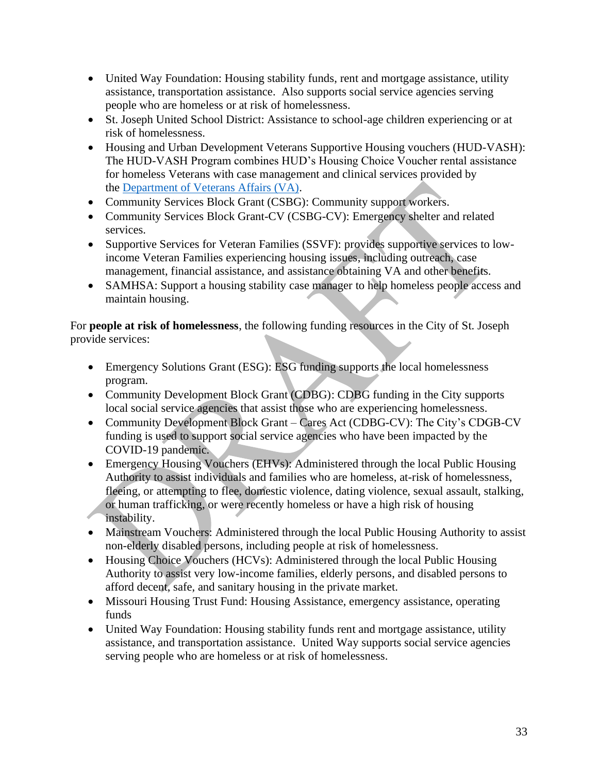- United Way Foundation: Housing stability funds, rent and mortgage assistance, utility assistance, transportation assistance. Also supports social service agencies serving people who are homeless or at risk of homelessness.
- St. Joseph United School District: Assistance to school-age children experiencing or at risk of homelessness.
- Housing and Urban Development Veterans Supportive Housing vouchers (HUD-VASH): The HUD-VASH Program combines HUD's Housing Choice Voucher rental assistance for homeless Veterans with case management and clinical services provided by the [Department of Veterans Affairs \(VA\).](https://www.va.gov/homeless/hud-vash.asp)
- Community Services Block Grant (CSBG): Community support workers.
- Community Services Block Grant-CV (CSBG-CV): Emergency shelter and related services.
- Supportive Services for Veteran Families (SSVF): provides supportive services to lowincome Veteran Families experiencing housing issues, including outreach, case management, financial assistance, and assistance obtaining VA and other benefits.
- SAMHSA: Support a housing stability case manager to help homeless people access and maintain housing.

For **people at risk of homelessness**, the following funding resources in the City of St. Joseph provide services:

- Emergency Solutions Grant (ESG): ESG funding supports the local homelessness program.
- Community Development Block Grant (CDBG): CDBG funding in the City supports local social service agencies that assist those who are experiencing homelessness.
- Community Development Block Grant Cares Act (CDBG-CV): The City's CDGB-CV funding is used to support social service agencies who have been impacted by the COVID-19 pandemic.
- Emergency Housing Vouchers (EHVs): Administered through the local Public Housing Authority to assist individuals and families who are homeless, at-risk of homelessness, fleeing, or attempting to flee, domestic violence, dating violence, sexual assault, stalking, or human trafficking, or were recently homeless or have a high risk of housing instability.
- Mainstream Vouchers: Administered through the local Public Housing Authority to assist non-elderly disabled persons, including people at risk of homelessness.
- Housing Choice Vouchers (HCVs): Administered through the local Public Housing Authority to assist very low-income families, elderly persons, and disabled persons to afford decent, safe, and sanitary housing in the private market.
- Missouri Housing Trust Fund: Housing Assistance, emergency assistance, operating funds
- United Way Foundation: Housing stability funds rent and mortgage assistance, utility assistance, and transportation assistance. United Way supports social service agencies serving people who are homeless or at risk of homelessness.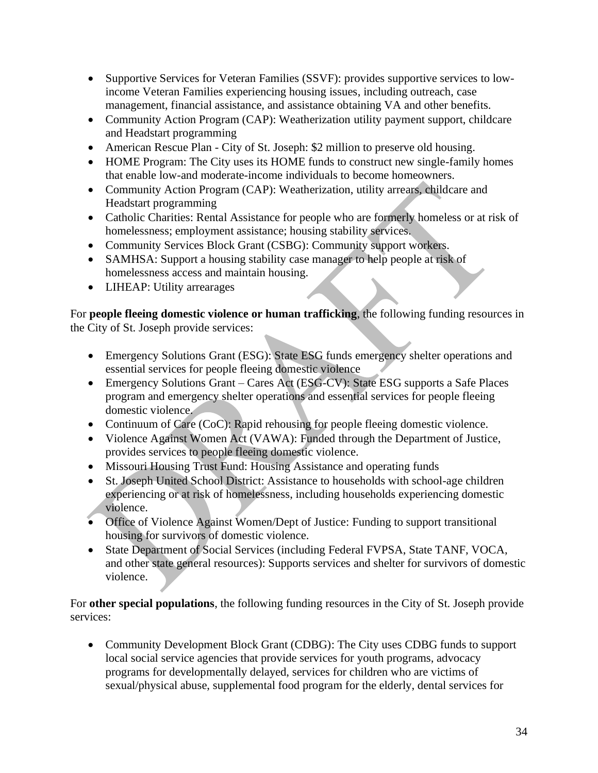- Supportive Services for Veteran Families (SSVF): provides supportive services to lowincome Veteran Families experiencing housing issues, including outreach, case management, financial assistance, and assistance obtaining VA and other benefits.
- Community Action Program (CAP): Weatherization utility payment support, childcare and Headstart programming
- American Rescue Plan City of St. Joseph: \$2 million to preserve old housing.
- HOME Program: The City uses its HOME funds to construct new single-family homes that enable low-and moderate-income individuals to become homeowners.
- Community Action Program (CAP): Weatherization, utility arrears, childcare and Headstart programming
- Catholic Charities: Rental Assistance for people who are formerly homeless or at risk of homelessness; employment assistance; housing stability services.
- Community Services Block Grant (CSBG): Community support workers.
- SAMHSA: Support a housing stability case manager to help people at risk of homelessness access and maintain housing.
- LIHEAP: Utility arrearages

For **people fleeing domestic violence or human trafficking**, the following funding resources in the City of St. Joseph provide services:

- Emergency Solutions Grant (ESG): State ESG funds emergency shelter operations and essential services for people fleeing domestic violence
- Emergency Solutions Grant Cares Act (ESG-CV): State ESG supports a Safe Places program and emergency shelter operations and essential services for people fleeing domestic violence.
- Continuum of Care (CoC): Rapid rehousing for people fleeing domestic violence.
- Violence Against Women Act (VAWA): Funded through the Department of Justice, provides services to people fleeing domestic violence.
- Missouri Housing Trust Fund: Housing Assistance and operating funds
- St. Joseph United School District: Assistance to households with school-age children experiencing or at risk of homelessness, including households experiencing domestic violence.
- Office of Violence Against Women/Dept of Justice: Funding to support transitional housing for survivors of domestic violence.
- State Department of Social Services (including Federal FVPSA, State TANF, VOCA, and other state general resources): Supports services and shelter for survivors of domestic violence.

For **other special populations**, the following funding resources in the City of St. Joseph provide services:

• Community Development Block Grant (CDBG): The City uses CDBG funds to support local social service agencies that provide services for youth programs, advocacy programs for developmentally delayed, services for children who are victims of sexual/physical abuse, supplemental food program for the elderly, dental services for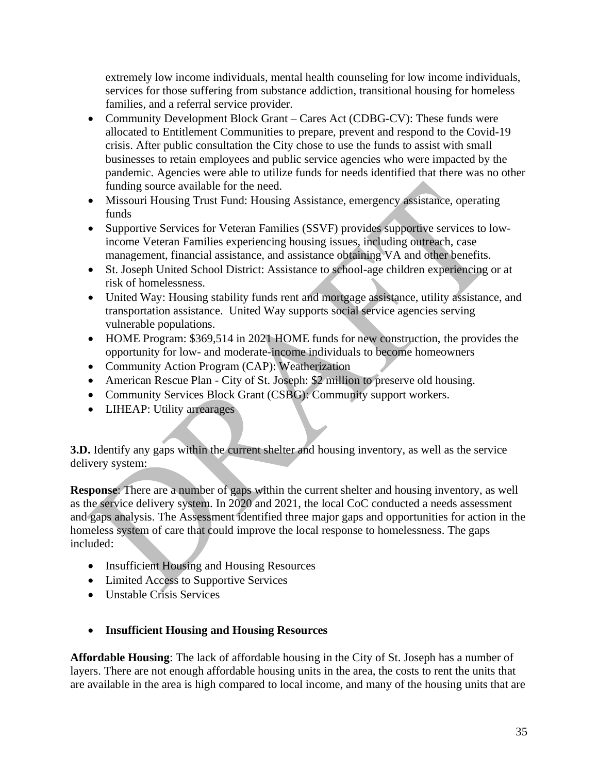extremely low income individuals, mental health counseling for low income individuals, services for those suffering from substance addiction, transitional housing for homeless families, and a referral service provider.

- Community Development Block Grant Cares Act (CDBG-CV): These funds were allocated to Entitlement Communities to prepare, prevent and respond to the Covid-19 crisis. After public consultation the City chose to use the funds to assist with small businesses to retain employees and public service agencies who were impacted by the pandemic. Agencies were able to utilize funds for needs identified that there was no other funding source available for the need.
- Missouri Housing Trust Fund: Housing Assistance, emergency assistance, operating funds
- Supportive Services for Veteran Families (SSVF) provides supportive services to lowincome Veteran Families experiencing housing issues, including outreach, case management, financial assistance, and assistance obtaining VA and other benefits.
- St. Joseph United School District: Assistance to school-age children experiencing or at risk of homelessness.
- United Way: Housing stability funds rent and mortgage assistance, utility assistance, and transportation assistance. United Way supports social service agencies serving vulnerable populations.
- HOME Program: \$369,514 in 2021 HOME funds for new construction, the provides the opportunity for low- and moderate-income individuals to become homeowners
- Community Action Program (CAP): Weatherization
- American Rescue Plan City of St. Joseph: \$2 million to preserve old housing.
- Community Services Block Grant (CSBG): Community support workers.
- LIHEAP: Utility arrearages

**3.D.** Identify any gaps within the current shelter and housing inventory, as well as the service delivery system:

**Response**: There are a number of gaps within the current shelter and housing inventory, as well as the service delivery system. In 2020 and 2021, the local CoC conducted a needs assessment and gaps analysis. The Assessment identified three major gaps and opportunities for action in the homeless system of care that could improve the local response to homelessness. The gaps included:

- Insufficient Housing and Housing Resources
- Limited Access to Supportive Services
- Unstable Crisis Services

# • **Insufficient Housing and Housing Resources**

**Affordable Housing**: The lack of affordable housing in the City of St. Joseph has a number of layers. There are not enough affordable housing units in the area, the costs to rent the units that are available in the area is high compared to local income, and many of the housing units that are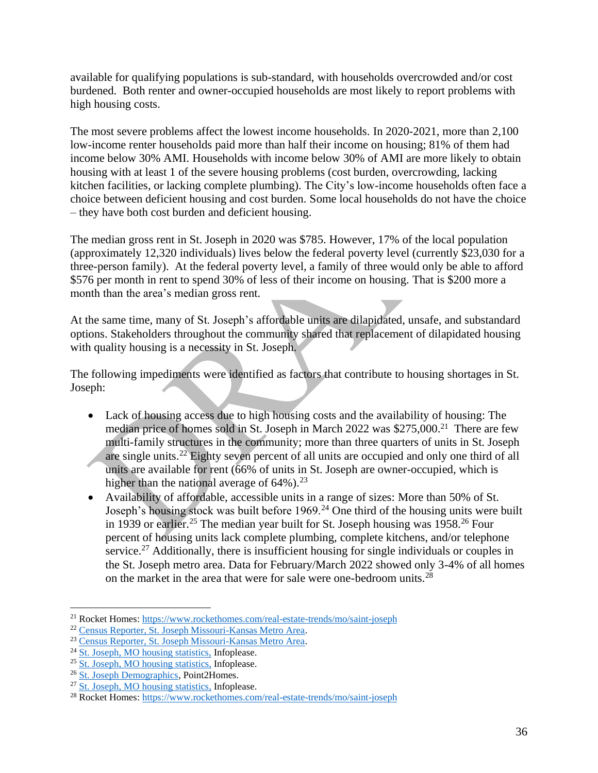available for qualifying populations is sub-standard, with households overcrowded and/or cost burdened. Both renter and owner-occupied households are most likely to report problems with high housing costs.

The most severe problems affect the lowest income households. In 2020-2021, more than 2,100 low-income renter households paid more than half their income on housing; 81% of them had income below 30% AMI. Households with income below 30% of AMI are more likely to obtain housing with at least 1 of the severe housing problems (cost burden, overcrowding, lacking kitchen facilities, or lacking complete plumbing). The City's low-income households often face a choice between deficient housing and cost burden. Some local households do not have the choice – they have both cost burden and deficient housing.

The median gross rent in St. Joseph in 2020 was \$785. However, 17% of the local population (approximately 12,320 individuals) lives below the federal poverty level (currently \$23,030 for a three-person family). At the federal poverty level, a family of three would only be able to afford \$576 per month in rent to spend 30% of less of their income on housing. That is \$200 more a month than the area's median gross rent.

At the same time, many of St. Joseph's affordable units are dilapidated, unsafe, and substandard options. Stakeholders throughout the community shared that replacement of dilapidated housing with quality housing is a necessity in St. Joseph.

The following impediments were identified as factors that contribute to housing shortages in St. Joseph:

- Lack of housing access due to high housing costs and the availability of housing: The median price of homes sold in St. Joseph in March 2022 was \$275,000.<sup>21</sup> There are few multi-family structures in the community; more than three quarters of units in St. Joseph are single units.<sup>22</sup> Eighty seven percent of all units are occupied and only one third of all units are available for rent (66% of units in St. Joseph are owner-occupied, which is higher than the national average of  $64\%$ ).<sup>23</sup>
- Availability of affordable, accessible units in a range of sizes: More than 50% of St. Joseph's housing stock was built before 1969.<sup>24</sup> One third of the housing units were built in 1939 or earlier.<sup>25</sup> The median year built for St. Joseph housing was 1958.<sup>26</sup> Four percent of housing units lack complete plumbing, complete kitchens, and/or telephone service.<sup>27</sup> Additionally, there is insufficient housing for single individuals or couples in the St. Joseph metro area. Data for February/March 2022 showed only 3-4% of all homes on the market in the area that were for sale were one-bedroom units.<sup>28</sup>

<sup>21</sup> Rocket Homes[: https://www.rockethomes.com/real-estate-trends/mo/saint-joseph](https://www.rockethomes.com/real-estate-trends/mo/saint-joseph)

<sup>22</sup> [Census Reporter, St. Joseph Missouri-Kansas Metro Area.](https://censusreporter.org/profiles/31000US41140-st-joseph-mo-ks-metro-area/)

<sup>23</sup> [Census Reporter, St. Joseph Missouri-Kansas Metro Area.](https://censusreporter.org/profiles/31000US41140-st-joseph-mo-ks-metro-area/)

<sup>24</sup> [St. Joseph, MO housing statistics,](https://www.infoplease.com/us/census/missouri/st-joseph/housing-statistics) Infoplease.

<sup>&</sup>lt;sup>25</sup> [St. Joseph, MO housing statistics,](https://www.infoplease.com/us/census/missouri/st-joseph/housing-statistics) Infoplease.

<sup>&</sup>lt;sup>26</sup> [St. Joseph Demographics,](https://www.point2homes.com/US/Neighborhood/MO/St-Joseph-Demographics.html) Point2Homes.

<sup>&</sup>lt;sup>27</sup> St. Joseph, [MO housing statistics,](https://www.infoplease.com/us/census/missouri/st-joseph/housing-statistics) Infoplease.

<sup>28</sup> Rocket Homes[: https://www.rockethomes.com/real-estate-trends/mo/saint-joseph](https://www.rockethomes.com/real-estate-trends/mo/saint-joseph)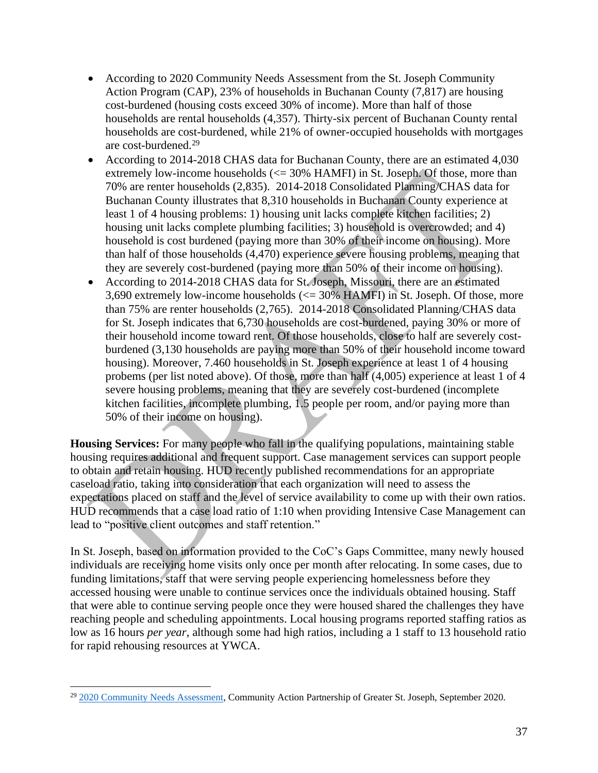- According to 2020 Community Needs Assessment from the St. Joseph Community Action Program (CAP), 23% of households in Buchanan County (7,817) are housing cost-burdened (housing costs exceed 30% of income). More than half of those households are rental households (4,357). Thirty-six percent of Buchanan County rental households are cost-burdened, while 21% of owner-occupied households with mortgages are cost-burdened.<sup>29</sup>
- According to 2014-2018 CHAS data for Buchanan County, there are an estimated 4,030 extremely low-income households  $\ll$  = 30% HAMFI) in St. Joseph. Of those, more than 70% are renter households (2,835). 2014-2018 Consolidated Planning/CHAS data for Buchanan County illustrates that 8,310 households in Buchanan County experience at least 1 of 4 housing problems: 1) housing unit lacks complete kitchen facilities; 2) housing unit lacks complete plumbing facilities; 3) household is overcrowded; and 4) household is cost burdened (paying more than 30% of their income on housing). More than half of those households (4,470) experience severe housing problems, meaning that they are severely cost-burdened (paying more than 50% of their income on housing).
- According to 2014-2018 CHAS data for St. Joseph, Missouri, there are an estimated 3,690 extremely low-income households  $\ll$  = 30% HAMFI) in St. Joseph. Of those, more than 75% are renter households (2,765). 2014-2018 Consolidated Planning/CHAS data for St. Joseph indicates that 6,730 households are cost-burdened, paying 30% or more of their household income toward rent. Of those households, close to half are severely costburdened (3,130 households are paying more than 50% of their household income toward housing). Moreover, 7.460 households in St. Joseph experience at least 1 of 4 housing probems (per list noted above). Of those, more than half (4,005) experience at least 1 of 4 severe housing problems, meaning that they are severely cost-burdened (incomplete kitchen facilities, incomplete plumbing, 1.5 people per room, and/or paying more than 50% of their income on housing).

**Housing Services:** For many people who fall in the qualifying populations, maintaining stable housing requires additional and frequent support. Case management services can support people to obtain and retain housing. HUD recently published recommendations for an appropriate caseload ratio, taking into consideration that each organization will need to assess the expectations placed on staff and the level of service availability to come up with their own ratios. HUD recommends that a case load ratio of 1:10 when providing Intensive Case Management can lead to "positive client outcomes and staff retention."

In St. Joseph, based on information provided to the CoC's Gaps Committee, many newly housed individuals are receiving home visits only once per month after relocating. In some cases, due to funding limitations, staff that were serving people experiencing homelessness before they accessed housing were unable to continue services once the individuals obtained housing. Staff that were able to continue serving people once they were housed shared the challenges they have reaching people and scheduling appointments. Local housing programs reported staffing ratios as low as 16 hours *per year*, although some had high ratios, including a 1 staff to 13 household ratio for rapid rehousing resources at YWCA.

<sup>29</sup> [2020 Community Needs Assessment,](https://www.capstjoe.org/wp-content/uploads/2018/09/2020-COMMUNITY-NEEDS-ASSESSMENT-CAPSTJOE-FINAL.pdf) Community Action Partnership of Greater St. Joseph, September 2020.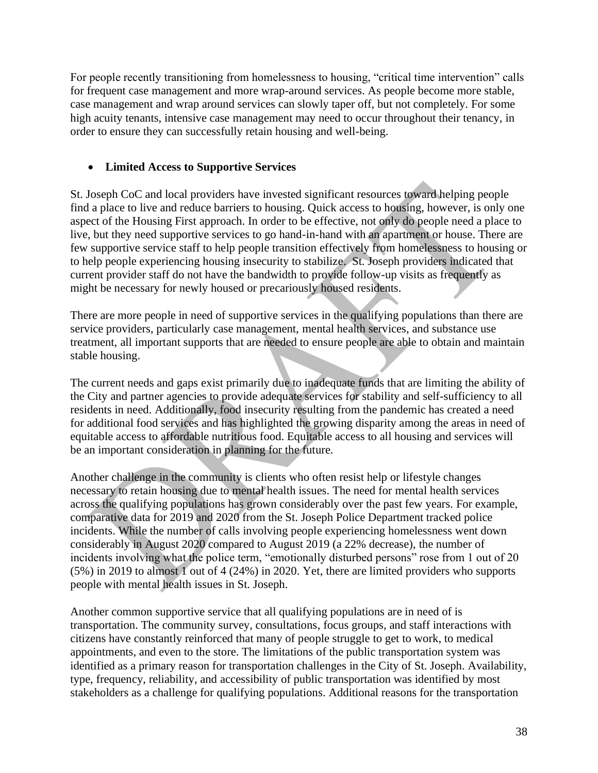For people recently transitioning from homelessness to housing, "critical time intervention" calls for frequent case management and more wrap-around services. As people become more stable, case management and wrap around services can slowly taper off, but not completely. For some high acuity tenants, intensive case management may need to occur throughout their tenancy, in order to ensure they can successfully retain housing and well-being.

### • **Limited Access to Supportive Services**

St. Joseph CoC and local providers have invested significant resources toward helping people find a place to live and reduce barriers to housing. Quick access to housing, however, is only one aspect of the Housing First approach. In order to be effective, not only do people need a place to live, but they need supportive services to go hand-in-hand with an apartment or house. There are few supportive service staff to help people transition effectively from homelessness to housing or to help people experiencing housing insecurity to stabilize. St. Joseph providers indicated that current provider staff do not have the bandwidth to provide follow-up visits as frequently as might be necessary for newly housed or precariously housed residents.

There are more people in need of supportive services in the qualifying populations than there are service providers, particularly case management, mental health services, and substance use treatment, all important supports that are needed to ensure people are able to obtain and maintain stable housing.

The current needs and gaps exist primarily due to inadequate funds that are limiting the ability of the City and partner agencies to provide adequate services for stability and self-sufficiency to all residents in need. Additionally, food insecurity resulting from the pandemic has created a need for additional food services and has highlighted the growing disparity among the areas in need of equitable access to affordable nutritious food. Equitable access to all housing and services will be an important consideration in planning for the future.

Another challenge in the community is clients who often resist help or lifestyle changes necessary to retain housing due to mental health issues. The need for mental health services across the qualifying populations has grown considerably over the past few years. For example, comparative data for 2019 and 2020 from the St. Joseph Police Department tracked police incidents. While the number of calls involving people experiencing homelessness went down considerably in August 2020 compared to August 2019 (a 22% decrease), the number of incidents involving what the police term, "emotionally disturbed persons" rose from 1 out of 20 (5%) in 2019 to almost 1 out of 4 (24%) in 2020. Yet, there are limited providers who supports people with mental health issues in St. Joseph.

Another common supportive service that all qualifying populations are in need of is transportation. The community survey, consultations, focus groups, and staff interactions with citizens have constantly reinforced that many of people struggle to get to work, to medical appointments, and even to the store. The limitations of the public transportation system was identified as a primary reason for transportation challenges in the City of St. Joseph. Availability, type, frequency, reliability, and accessibility of public transportation was identified by most stakeholders as a challenge for qualifying populations. Additional reasons for the transportation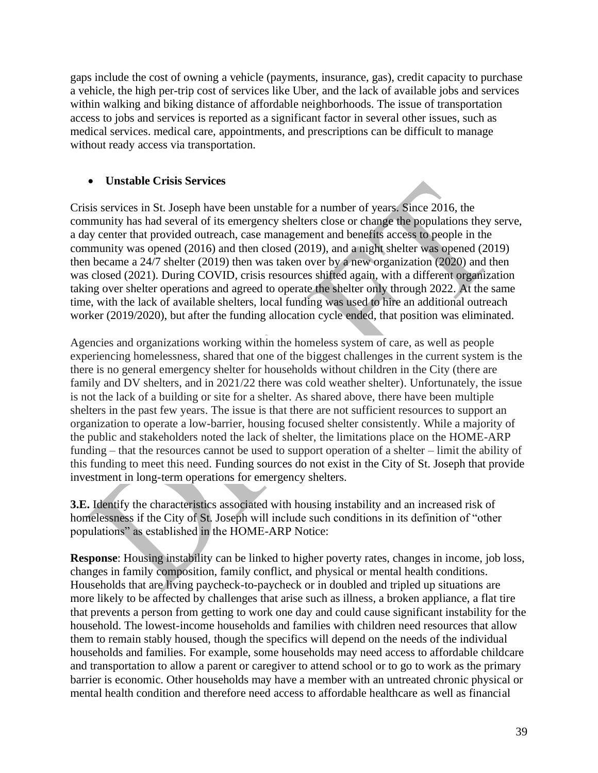gaps include the cost of owning a vehicle (payments, insurance, gas), credit capacity to purchase a vehicle, the high per-trip cost of services like Uber, and the lack of available jobs and services within walking and biking distance of affordable neighborhoods. The issue of transportation access to jobs and services is reported as a significant factor in several other issues, such as medical services. medical care, appointments, and prescriptions can be difficult to manage without ready access via transportation.

#### • **Unstable Crisis Services**

Crisis services in St. Joseph have been unstable for a number of years. Since 2016, the community has had several of its emergency shelters close or change the populations they serve, a day center that provided outreach, case management and benefits access to people in the community was opened (2016) and then closed (2019), and a night shelter was opened (2019) then became a 24/7 shelter (2019) then was taken over by a new organization (2020) and then was closed (2021). During COVID, crisis resources shifted again, with a different organization taking over shelter operations and agreed to operate the shelter only through 2022. At the same time, with the lack of available shelters, local funding was used to hire an additional outreach worker (2019/2020), but after the funding allocation cycle ended, that position was eliminated.

Agencies and organizations working within the homeless system of care, as well as people experiencing homelessness, shared that one of the biggest challenges in the current system is the there is no general emergency shelter for households without children in the City (there are family and DV shelters, and in 2021/22 there was cold weather shelter). Unfortunately, the issue is not the lack of a building or site for a shelter. As shared above, there have been multiple shelters in the past few years. The issue is that there are not sufficient resources to support an organization to operate a low-barrier, housing focused shelter consistently. While a majority of the public and stakeholders noted the lack of shelter, the limitations place on the HOME-ARP funding – that the resources cannot be used to support operation of a shelter – limit the ability of this funding to meet this need. Funding sources do not exist in the City of St. Joseph that provide investment in long-term operations for emergency shelters.

**3.E.** Identify the characteristics associated with housing instability and an increased risk of homelessness if the City of St. Joseph will include such conditions in its definition of "other populations" as established in the HOME-ARP Notice:

**Response**: Housing instability can be linked to higher poverty rates, changes in income, job loss, changes in family composition, family conflict, and physical or mental health conditions. Households that are living paycheck-to-paycheck or in doubled and tripled up situations are more likely to be affected by challenges that arise such as illness, a broken appliance, a flat tire that prevents a person from getting to work one day and could cause significant instability for the household. The lowest-income households and families with children need resources that allow them to remain stably housed, though the specifics will depend on the needs of the individual households and families. For example, some households may need access to affordable childcare and transportation to allow a parent or caregiver to attend school or to go to work as the primary barrier is economic. Other households may have a member with an untreated chronic physical or mental health condition and therefore need access to affordable healthcare as well as financial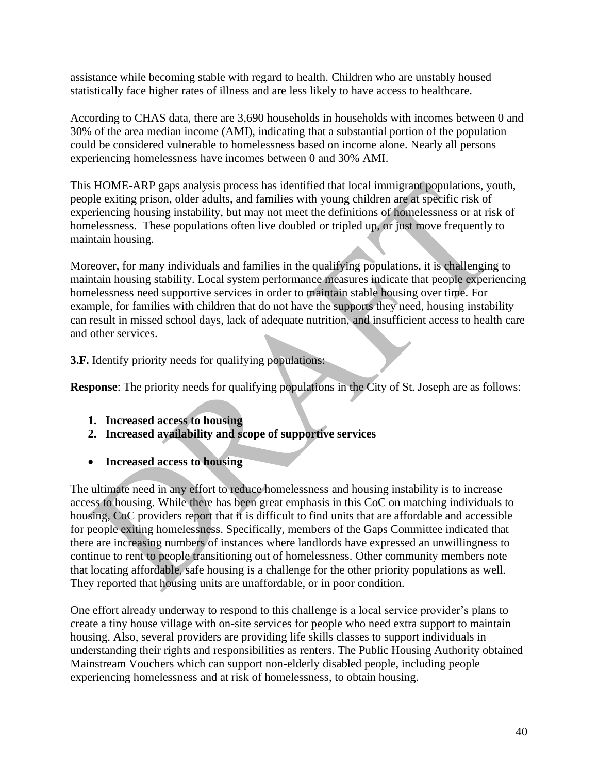assistance while becoming stable with regard to health. Children who are unstably housed statistically face higher rates of illness and are less likely to have access to healthcare.

According to CHAS data, there are 3,690 households in households with incomes between 0 and 30% of the area median income (AMI), indicating that a substantial portion of the population could be considered vulnerable to homelessness based on income alone. Nearly all persons experiencing homelessness have incomes between 0 and 30% AMI.

This HOME-ARP gaps analysis process has identified that local immigrant populations, youth, people exiting prison, older adults, and families with young children are at specific risk of experiencing housing instability, but may not meet the definitions of homelessness or at risk of homelessness. These populations often live doubled or tripled up, or just move frequently to maintain housing.

Moreover, for many individuals and families in the qualifying populations, it is challenging to maintain housing stability. Local system performance measures indicate that people experiencing homelessness need supportive services in order to maintain stable housing over time. For example, for families with children that do not have the supports they need, housing instability can result in missed school days, lack of adequate nutrition, and insufficient access to health care and other services.

**3.F.** Identify priority needs for qualifying populations:

**Response:** The priority needs for qualifying populations in the City of St. Joseph are as follows:

- **1. Increased access to housing**
- **2. Increased availability and scope of supportive services**
- **Increased access to housing**

The ultimate need in any effort to reduce homelessness and housing instability is to increase access to housing. While there has been great emphasis in this CoC on matching individuals to housing, CoC providers report that it is difficult to find units that are affordable and accessible for people exiting homelessness. Specifically, members of the Gaps Committee indicated that there are increasing numbers of instances where landlords have expressed an unwillingness to continue to rent to people transitioning out of homelessness. Other community members note that locating affordable, safe housing is a challenge for the other priority populations as well. They reported that housing units are unaffordable, or in poor condition.

One effort already underway to respond to this challenge is a local service provider's plans to create a tiny house village with on-site services for people who need extra support to maintain housing. Also, several providers are providing life skills classes to support individuals in understanding their rights and responsibilities as renters. The Public Housing Authority obtained Mainstream Vouchers which can support non-elderly disabled people, including people experiencing homelessness and at risk of homelessness, to obtain housing.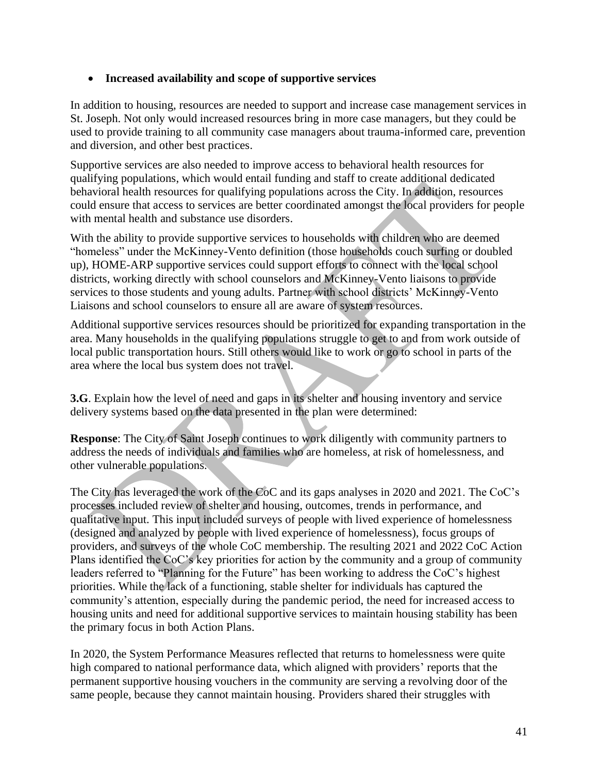#### • **Increased availability and scope of supportive services**

In addition to housing, resources are needed to support and increase case management services in St. Joseph. Not only would increased resources bring in more case managers, but they could be used to provide training to all community case managers about trauma-informed care, prevention and diversion, and other best practices.

Supportive services are also needed to improve access to behavioral health resources for qualifying populations, which would entail funding and staff to create additional dedicated behavioral health resources for qualifying populations across the City. In addition, resources could ensure that access to services are better coordinated amongst the local providers for people with mental health and substance use disorders.

With the ability to provide supportive services to households with children who are deemed "homeless" under the McKinney-Vento definition (those households couch surfing or doubled up), HOME-ARP supportive services could support efforts to connect with the local school districts, working directly with school counselors and McKinney-Vento liaisons to provide services to those students and young adults. Partner with school districts' McKinney-Vento Liaisons and school counselors to ensure all are aware of system resources.

Additional supportive services resources should be prioritized for expanding transportation in the area. Many households in the qualifying populations struggle to get to and from work outside of local public transportation hours. Still others would like to work or go to school in parts of the area where the local bus system does not travel.

**3.G**. Explain how the level of need and gaps in its shelter and housing inventory and service delivery systems based on the data presented in the plan were determined:

**Response**: The City of Saint Joseph continues to work diligently with community partners to address the needs of individuals and families who are homeless, at risk of homelessness, and other vulnerable populations.

The City has leveraged the work of the CoC and its gaps analyses in 2020 and 2021. The CoC's processes included review of shelter and housing, outcomes, trends in performance, and qualitative input. This input included surveys of people with lived experience of homelessness (designed and analyzed by people with lived experience of homelessness), focus groups of providers, and surveys of the whole CoC membership. The resulting 2021 and 2022 CoC Action Plans identified the CoC's key priorities for action by the community and a group of community leaders referred to "Planning for the Future" has been working to address the CoC's highest priorities. While the lack of a functioning, stable shelter for individuals has captured the community's attention, especially during the pandemic period, the need for increased access to housing units and need for additional supportive services to maintain housing stability has been the primary focus in both Action Plans.

In 2020, the System Performance Measures reflected that returns to homelessness were quite high compared to national performance data, which aligned with providers' reports that the permanent supportive housing vouchers in the community are serving a revolving door of the same people, because they cannot maintain housing. Providers shared their struggles with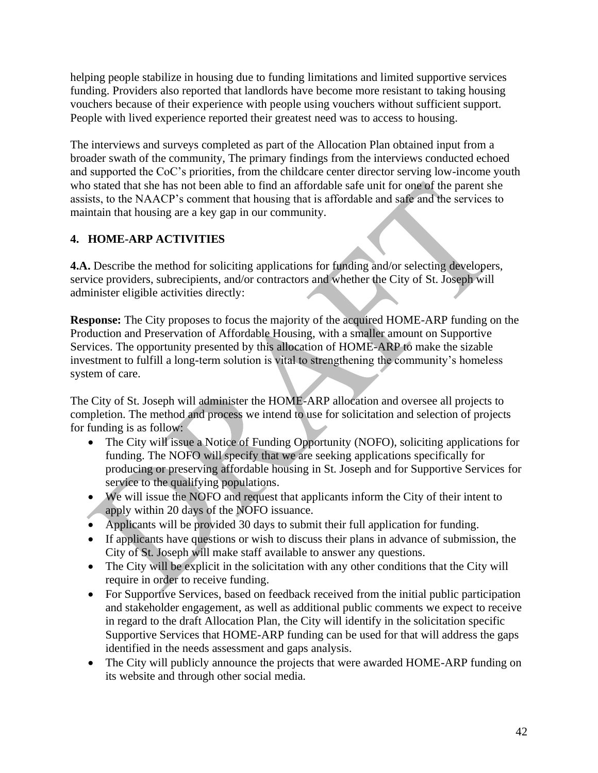helping people stabilize in housing due to funding limitations and limited supportive services funding. Providers also reported that landlords have become more resistant to taking housing vouchers because of their experience with people using vouchers without sufficient support. People with lived experience reported their greatest need was to access to housing.

The interviews and surveys completed as part of the Allocation Plan obtained input from a broader swath of the community, The primary findings from the interviews conducted echoed and supported the CoC's priorities, from the childcare center director serving low-income youth who stated that she has not been able to find an affordable safe unit for one of the parent she assists, to the NAACP's comment that housing that is affordable and safe and the services to maintain that housing are a key gap in our community.

# **4. HOME-ARP ACTIVITIES**

**4.A.** Describe the method for soliciting applications for funding and/or selecting developers, service providers, subrecipients, and/or contractors and whether the City of St. Joseph will administer eligible activities directly:

**Response:** The City proposes to focus the majority of the acquired HOME-ARP funding on the Production and Preservation of Affordable Housing, with a smaller amount on Supportive Services. The opportunity presented by this allocation of HOME-ARP to make the sizable investment to fulfill a long-term solution is vital to strengthening the community's homeless system of care.

The City of St. Joseph will administer the HOME-ARP allocation and oversee all projects to completion. The method and process we intend to use for solicitation and selection of projects for funding is as follow:

- The City will issue a Notice of Funding Opportunity (NOFO), soliciting applications for funding. The NOFO will specify that we are seeking applications specifically for producing or preserving affordable housing in St. Joseph and for Supportive Services for service to the qualifying populations.
- We will issue the NOFO and request that applicants inform the City of their intent to apply within 20 days of the NOFO issuance.
- Applicants will be provided 30 days to submit their full application for funding.
- If applicants have questions or wish to discuss their plans in advance of submission, the City of St. Joseph will make staff available to answer any questions.
- The City will be explicit in the solicitation with any other conditions that the City will require in order to receive funding.
- For Supportive Services, based on feedback received from the initial public participation and stakeholder engagement, as well as additional public comments we expect to receive in regard to the draft Allocation Plan, the City will identify in the solicitation specific Supportive Services that HOME-ARP funding can be used for that will address the gaps identified in the needs assessment and gaps analysis.
- The City will publicly announce the projects that were awarded HOME-ARP funding on its website and through other social media.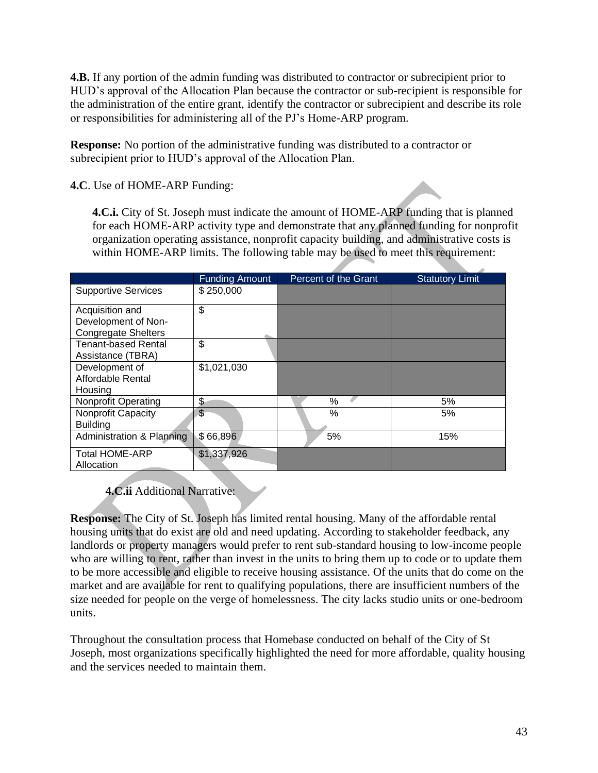**4.B.** If any portion of the admin funding was distributed to contractor or subrecipient prior to HUD's approval of the Allocation Plan because the contractor or sub-recipient is responsible for the administration of the entire grant, identify the contractor or subrecipient and describe its role or responsibilities for administering all of the PJ's Home-ARP program.

**Response:** No portion of the administrative funding was distributed to a contractor or subrecipient prior to HUD's approval of the Allocation Plan.

**4.C**. Use of HOME-ARP Funding:

**4.C.i.** City of St. Joseph must indicate the amount of HOME-ARP funding that is planned for each HOME-ARP activity type and demonstrate that any planned funding for nonprofit organization operating assistance, nonprofit capacity building, and administrative costs is within HOME-ARP limits. The following table may be used to meet this requirement:

|                                        | Funding Amount | Percent of the Grant | <b>Statutory Limit</b> |
|----------------------------------------|----------------|----------------------|------------------------|
| <b>Supportive Services</b>             | \$250,000      |                      |                        |
| Acquisition and<br>Development of Non- | \$             |                      |                        |
| <b>Congregate Shelters</b>             |                |                      |                        |
| <b>Tenant-based Rental</b>             | \$             |                      |                        |
| Assistance (TBRA)                      |                |                      |                        |
| Development of                         | \$1,021,030    |                      |                        |
| Affordable Rental                      |                |                      |                        |
| Housing                                |                |                      |                        |
| <b>Nonprofit Operating</b>             | \$             | $\%$                 | 5%                     |
| Nonprofit Capacity                     | \$             | $\%$                 | 5%                     |
| <b>Building</b>                        |                |                      |                        |
| Administration & Planning              | \$66,896       | 5%                   | 15%                    |
| <b>Total HOME-ARP</b>                  | \$1,337,926    |                      |                        |
| Allocation                             |                |                      |                        |

# **4.C.ii** Additional Narrative:

**Response:** The City of St. Joseph has limited rental housing. Many of the affordable rental housing units that do exist are old and need updating. According to stakeholder feedback, any landlords or property managers would prefer to rent sub-standard housing to low-income people who are willing to rent, rather than invest in the units to bring them up to code or to update them to be more accessible and eligible to receive housing assistance. Of the units that do come on the market and are available for rent to qualifying populations, there are insufficient numbers of the size needed for people on the verge of homelessness. The city lacks studio units or one-bedroom units.

Throughout the consultation process that Homebase conducted on behalf of the City of St Joseph, most organizations specifically highlighted the need for more affordable, quality housing and the services needed to maintain them.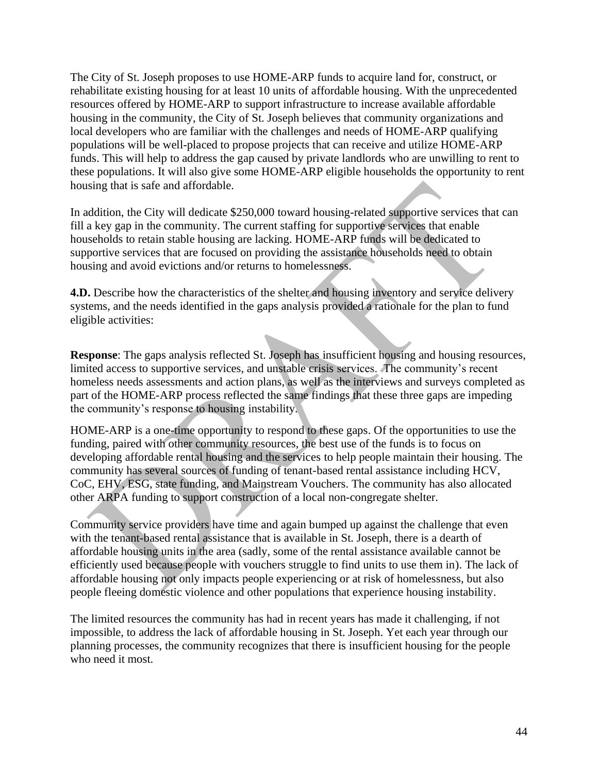The City of St. Joseph proposes to use HOME-ARP funds to acquire land for, construct, or rehabilitate existing housing for at least 10 units of affordable housing. With the unprecedented resources offered by HOME-ARP to support infrastructure to increase available affordable housing in the community, the City of St. Joseph believes that community organizations and local developers who are familiar with the challenges and needs of HOME-ARP qualifying populations will be well-placed to propose projects that can receive and utilize HOME-ARP funds. This will help to address the gap caused by private landlords who are unwilling to rent to these populations. It will also give some HOME-ARP eligible households the opportunity to rent housing that is safe and affordable.

In addition, the City will dedicate \$250,000 toward housing-related supportive services that can fill a key gap in the community. The current staffing for supportive services that enable households to retain stable housing are lacking. HOME-ARP funds will be dedicated to supportive services that are focused on providing the assistance households need to obtain housing and avoid evictions and/or returns to homelessness.

**4.D.** Describe how the characteristics of the shelter and housing inventory and service delivery systems, and the needs identified in the gaps analysis provided a rationale for the plan to fund eligible activities:

**Response**: The gaps analysis reflected St. Joseph has insufficient housing and housing resources, limited access to supportive services, and unstable crisis services. The community's recent homeless needs assessments and action plans, as well as the interviews and surveys completed as part of the HOME-ARP process reflected the same findings that these three gaps are impeding the community's response to housing instability.

HOME-ARP is a one-time opportunity to respond to these gaps. Of the opportunities to use the funding, paired with other community resources, the best use of the funds is to focus on developing affordable rental housing and the services to help people maintain their housing. The community has several sources of funding of tenant-based rental assistance including HCV, CoC, EHV, ESG, state funding, and Mainstream Vouchers. The community has also allocated other ARPA funding to support construction of a local non-congregate shelter.

Community service providers have time and again bumped up against the challenge that even with the tenant-based rental assistance that is available in St. Joseph, there is a dearth of affordable housing units in the area (sadly, some of the rental assistance available cannot be efficiently used because people with vouchers struggle to find units to use them in). The lack of affordable housing not only impacts people experiencing or at risk of homelessness, but also people fleeing domestic violence and other populations that experience housing instability.

The limited resources the community has had in recent years has made it challenging, if not impossible, to address the lack of affordable housing in St. Joseph. Yet each year through our planning processes, the community recognizes that there is insufficient housing for the people who need it most.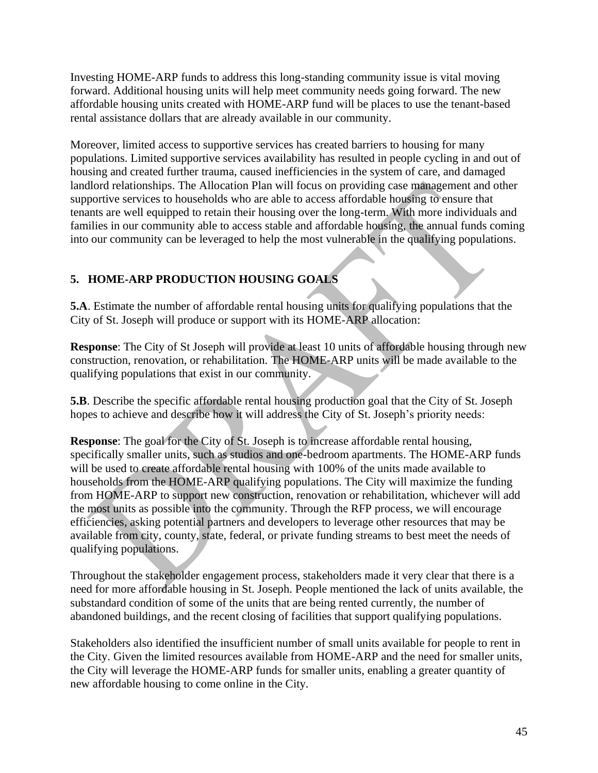Investing HOME-ARP funds to address this long-standing community issue is vital moving forward. Additional housing units will help meet community needs going forward. The new affordable housing units created with HOME-ARP fund will be places to use the tenant-based rental assistance dollars that are already available in our community.

Moreover, limited access to supportive services has created barriers to housing for many populations. Limited supportive services availability has resulted in people cycling in and out of housing and created further trauma, caused inefficiencies in the system of care, and damaged landlord relationships. The Allocation Plan will focus on providing case management and other supportive services to households who are able to access affordable housing to ensure that tenants are well equipped to retain their housing over the long-term. With more individuals and families in our community able to access stable and affordable housing, the annual funds coming into our community can be leveraged to help the most vulnerable in the qualifying populations.

# **5. HOME-ARP PRODUCTION HOUSING GOALS**

**5.A**. Estimate the number of affordable rental housing units for qualifying populations that the City of St. Joseph will produce or support with its HOME-ARP allocation:

**Response**: The City of St Joseph will provide at least 10 units of affordable housing through new construction, renovation, or rehabilitation. The HOME-ARP units will be made available to the qualifying populations that exist in our community.

**5.B**. Describe the specific affordable rental housing production goal that the City of St. Joseph hopes to achieve and describe how it will address the City of St. Joseph's priority needs:

**Response**: The goal for the City of St. Joseph is to increase affordable rental housing, specifically smaller units, such as studios and one-bedroom apartments. The HOME-ARP funds will be used to create affordable rental housing with 100% of the units made available to households from the HOME-ARP qualifying populations. The City will maximize the funding from HOME-ARP to support new construction, renovation or rehabilitation, whichever will add the most units as possible into the community. Through the RFP process, we will encourage efficiencies, asking potential partners and developers to leverage other resources that may be available from city, county, state, federal, or private funding streams to best meet the needs of qualifying populations.

Throughout the stakeholder engagement process, stakeholders made it very clear that there is a need for more affordable housing in St. Joseph. People mentioned the lack of units available, the substandard condition of some of the units that are being rented currently, the number of abandoned buildings, and the recent closing of facilities that support qualifying populations.

Stakeholders also identified the insufficient number of small units available for people to rent in the City. Given the limited resources available from HOME-ARP and the need for smaller units, the City will leverage the HOME-ARP funds for smaller units, enabling a greater quantity of new affordable housing to come online in the City.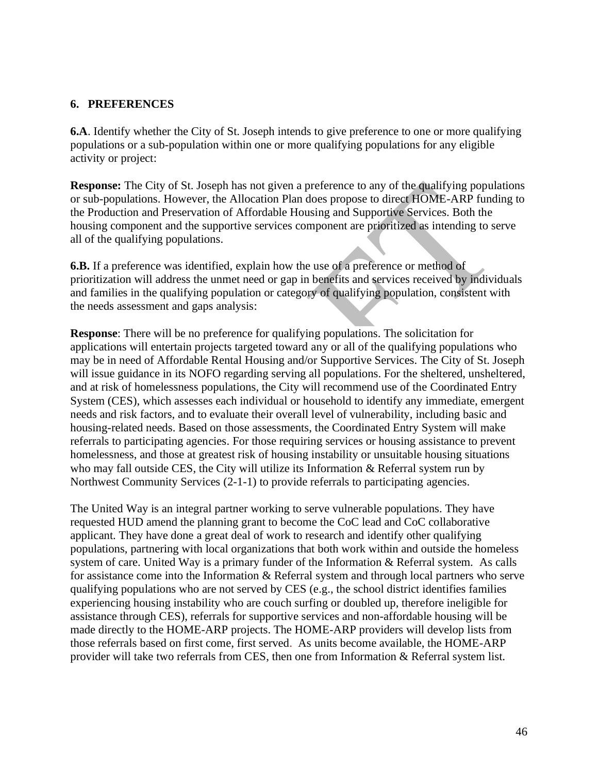#### **6. PREFERENCES**

**6.A**. Identify whether the City of St. Joseph intends to give preference to one or more qualifying populations or a sub-population within one or more qualifying populations for any eligible activity or project:

**Response:** The City of St. Joseph has not given a preference to any of the qualifying populations or sub-populations. However, the Allocation Plan does propose to direct HOME-ARP funding to the Production and Preservation of Affordable Housing and Supportive Services. Both the housing component and the supportive services component are prioritized as intending to serve all of the qualifying populations.

**6.B.** If a preference was identified, explain how the use of a preference or method of prioritization will address the unmet need or gap in benefits and services received by individuals and families in the qualifying population or category of qualifying population, consistent with the needs assessment and gaps analysis:

**Response**: There will be no preference for qualifying populations. The solicitation for applications will entertain projects targeted toward any or all of the qualifying populations who may be in need of Affordable Rental Housing and/or Supportive Services. The City of St. Joseph will issue guidance in its NOFO regarding serving all populations. For the sheltered, unsheltered, and at risk of homelessness populations, the City will recommend use of the Coordinated Entry System (CES), which assesses each individual or household to identify any immediate, emergent needs and risk factors, and to evaluate their overall level of vulnerability, including basic and housing-related needs. Based on those assessments, the Coordinated Entry System will make referrals to participating agencies. For those requiring services or housing assistance to prevent homelessness, and those at greatest risk of housing instability or unsuitable housing situations who may fall outside CES, the City will utilize its Information & Referral system run by Northwest Community Services (2-1-1) to provide referrals to participating agencies.

The United Way is an integral partner working to serve vulnerable populations. They have requested HUD amend the planning grant to become the CoC lead and CoC collaborative applicant. They have done a great deal of work to research and identify other qualifying populations, partnering with local organizations that both work within and outside the homeless system of care. United Way is a primary funder of the Information & Referral system. As calls for assistance come into the Information & Referral system and through local partners who serve qualifying populations who are not served by CES (e.g., the school district identifies families experiencing housing instability who are couch surfing or doubled up, therefore ineligible for assistance through CES), referrals for supportive services and non-affordable housing will be made directly to the HOME-ARP projects. The HOME-ARP providers will develop lists from those referrals based on first come, first served. As units become available, the HOME-ARP provider will take two referrals from CES, then one from Information & Referral system list.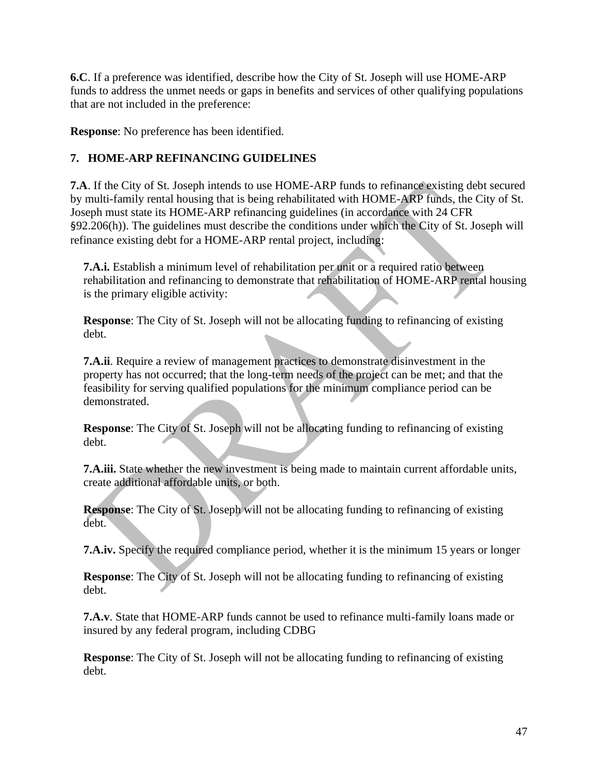**6.C**. If a preference was identified, describe how the City of St. Joseph will use HOME-ARP funds to address the unmet needs or gaps in benefits and services of other qualifying populations that are not included in the preference:

**Response**: No preference has been identified.

## **7. HOME-ARP REFINANCING GUIDELINES**

**7.A**. If the City of St. Joseph intends to use HOME-ARP funds to refinance existing debt secured by multi-family rental housing that is being rehabilitated with HOME-ARP funds, the City of St. Joseph must state its HOME-ARP refinancing guidelines (in accordance with 24 CFR §92.206(h)). The guidelines must describe the conditions under which the City of St. Joseph will refinance existing debt for a HOME-ARP rental project, including:

**7.A.i.** Establish a minimum level of rehabilitation per unit or a required ratio between rehabilitation and refinancing to demonstrate that rehabilitation of HOME-ARP rental housing is the primary eligible activity:

**Response**: The City of St. Joseph will not be allocating funding to refinancing of existing debt.

**7.A.ii**. Require a review of management practices to demonstrate disinvestment in the property has not occurred; that the long-term needs of the project can be met; and that the feasibility for serving qualified populations for the minimum compliance period can be demonstrated.

**Response**: The City of St. Joseph will not be allocating funding to refinancing of existing debt.

**7.A.iii.** State whether the new investment is being made to maintain current affordable units, create additional affordable units, or both.

**Response**: The City of St. Joseph will not be allocating funding to refinancing of existing debt.

**7.A.iv.** Specify the required compliance period, whether it is the minimum 15 years or longer

**Response**: The City of St. Joseph will not be allocating funding to refinancing of existing debt.

**7.A.v**. State that HOME-ARP funds cannot be used to refinance multi-family loans made or insured by any federal program, including CDBG

**Response**: The City of St. Joseph will not be allocating funding to refinancing of existing debt.